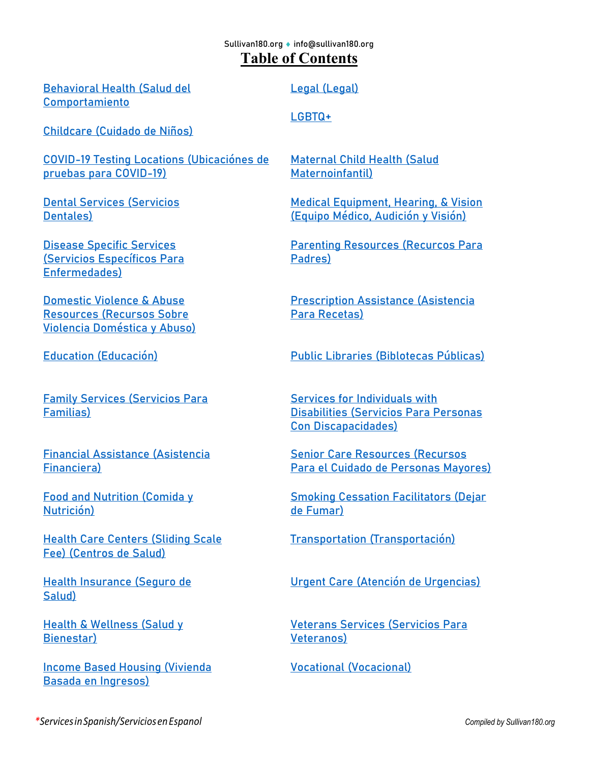#### Sullivan180.org ♦ [info@sullivan180.org](mailto:info@sullivan180.org) **Table of Contents**

[Behavioral](#page-1-0) Health [\(Salud del](#page-1-0)  [Comportamiento](#page-1-1)

[Childcare](#page-3-0) (Cuidado de Niños)

[COVID-19 Testing Locations \(Ubicaciónes de](#page-3-1)  [pruebas para COVID-19\)](#page-3-1)

Dental [Services](#page-3-2) (Servicios Dentales)

Disease [Specific Services](#page-4-0) (Servicios Específicos Para Enfermedades)

[Domestic](#page-4-1) Violence & Abuse [Resources](#page-4-1) (Recursos Sobre Violencia Doméstica y Abuso)

Family [Services](#page-6-0) (Servicios Para Familias)

[Financial Assistance](#page-6-1) (Asistencia Financiera)

Food and [Nutrition](#page-7-0) (Comida y Nutrición)

**[Health Care](#page-11-0) Centers (Sliding Scale** [Fee\)](#page-11-0) (Centros de Salud)

[Health Insurance](#page-11-1) (Seguro de Salud)

**Health & [Wellness](#page-12-0) (Salud y** Bienestar)

Income Based [Housing](#page-13-0) (Vivienda Basada en Ingresos)

[Legal](#page-14-0) (Legal)

[LGBTQ+](#page-14-1)

[Maternal](#page-14-2) Child Health (Salud Maternoinfantil)

Medical [Equipment,](#page-15-0) Hearing, & Vision (Equipo Médico, Audición y Visión)

Parenting [Resources](#page-15-1) (Recurcos Para Padres)

[Prescription Assistance](#page-16-0) (Asistencia Para Recetas)

[Education](#page-5-0) (Educación) Public [Libraries](#page-16-1) (Biblotecas Públicas)

Services for [Individuals](#page-17-0) with [Disabilities](#page-17-0) (Servicios Para Personas Con Discapacidades)

[Senior Care](#page-17-1) Resources (Recursos Para el Cuidado de Personas Mayores)

Smoking [Cessation](#page-19-0) Facilitators (Dejar de Fumar)

[Transportation](#page-19-1) (Transportación)

[Urgent Care](#page-19-2) (Atención de Urgencias)

[Veterans](#page-20-0) Services (Servicios Para Veteranos)

[Vocational](#page-20-1) (Vocacional)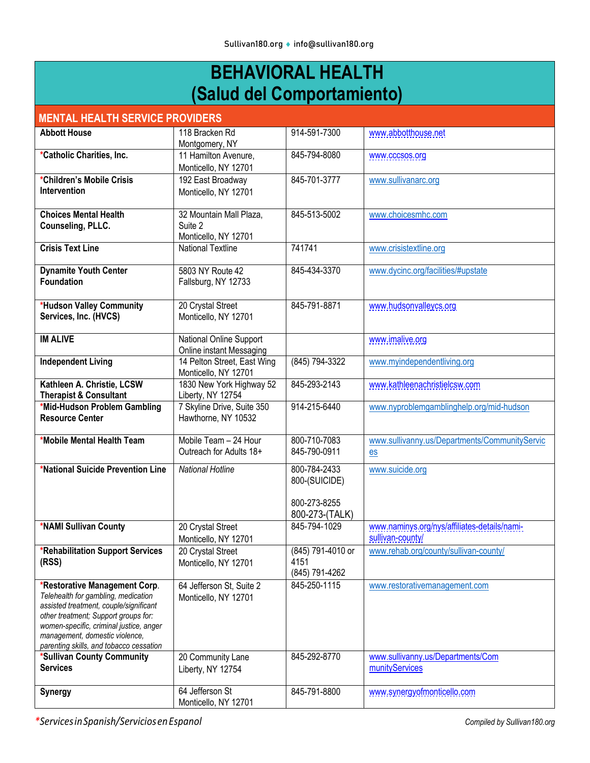### **BEHAVIORAL HEALTH (Salud del Comportamiento)**

<span id="page-1-1"></span><span id="page-1-0"></span>

| <u>s ann an cann ann an c</u>                                                                                                                                                                                                                                                  |                                                            |                                                                 |                                                                  |  |
|--------------------------------------------------------------------------------------------------------------------------------------------------------------------------------------------------------------------------------------------------------------------------------|------------------------------------------------------------|-----------------------------------------------------------------|------------------------------------------------------------------|--|
| <b>MENTAL HEALTH SERVICE PROVIDERS</b>                                                                                                                                                                                                                                         |                                                            |                                                                 |                                                                  |  |
| <b>Abbott House</b>                                                                                                                                                                                                                                                            | 118 Bracken Rd<br>Montgomery, NY                           | 914-591-7300                                                    | www.abbotthouse.net                                              |  |
| *Catholic Charities, Inc.                                                                                                                                                                                                                                                      | 11 Hamilton Avenure,<br>Monticello, NY 12701               | 845-794-8080                                                    | www.cccsos.org                                                   |  |
| *Children's Mobile Crisis<br>Intervention                                                                                                                                                                                                                                      | 192 East Broadway<br>Monticello, NY 12701                  | 845-701-3777                                                    | www.sullivanarc.org                                              |  |
| <b>Choices Mental Health</b><br>Counseling, PLLC.                                                                                                                                                                                                                              | 32 Mountain Mall Plaza,<br>Suite 2<br>Monticello, NY 12701 | 845-513-5002                                                    | www.choicesmhc.com                                               |  |
| <b>Crisis Text Line</b>                                                                                                                                                                                                                                                        | <b>National Textline</b>                                   | 741741                                                          | www.crisistextline.org                                           |  |
| <b>Dynamite Youth Center</b><br><b>Foundation</b>                                                                                                                                                                                                                              | 5803 NY Route 42<br>Fallsburg, NY 12733                    | 845-434-3370                                                    | www.dycinc.org/facilities/#upstate                               |  |
| *Hudson Valley Community<br>Services, Inc. (HVCS)                                                                                                                                                                                                                              | 20 Crystal Street<br>Monticello, NY 12701                  | 845-791-8871                                                    | www.hudsonvalleycs.org                                           |  |
| <b>IM ALIVE</b>                                                                                                                                                                                                                                                                | National Online Support<br>Online instant Messaging        |                                                                 | www.imalive.org                                                  |  |
| <b>Independent Living</b>                                                                                                                                                                                                                                                      | 14 Pelton Street, East Wing<br>Monticello, NY 12701        | (845) 794-3322                                                  | www.myindependentliving.org                                      |  |
| Kathleen A. Christie, LCSW<br><b>Therapist &amp; Consultant</b>                                                                                                                                                                                                                | 1830 New York Highway 52<br>Liberty, NY 12754              | 845-293-2143                                                    | www.kathleenachristielcsw.com                                    |  |
| *Mid-Hudson Problem Gambling<br><b>Resource Center</b>                                                                                                                                                                                                                         | 7 Skyline Drive, Suite 350<br>Hawthorne, NY 10532          | 914-215-6440                                                    | www.nyproblemgamblinghelp.org/mid-hudson                         |  |
| *Mobile Mental Health Team                                                                                                                                                                                                                                                     | Mobile Team - 24 Hour<br>Outreach for Adults 18+           | 800-710-7083<br>845-790-0911                                    | www.sullivanny.us/Departments/CommunityServic<br>$es$            |  |
| *National Suicide Prevention Line                                                                                                                                                                                                                                              | <b>National Hotline</b>                                    | 800-784-2433<br>800-(SUICIDE)<br>800-273-8255<br>800-273-(TALK) | www.suicide.org                                                  |  |
| *NAMI Sullivan County                                                                                                                                                                                                                                                          | 20 Crystal Street<br>Monticello, NY 12701                  | 845-794-1029                                                    | www.naminys.org/nys/affiliates-details/nami-<br>sullivan-county/ |  |
| *Rehabilitation Support Services<br>(RSS)                                                                                                                                                                                                                                      | 20 Crystal Street<br>Monticello, NY 12701                  | (845) 791-4010 or<br>4151<br>(845) 791-4262                     | www.rehab.org/county/sullivan-county/                            |  |
| *Restorative Management Corp.<br>Telehealth for gambling, medication<br>assisted treatment, couple/significant<br>other treatment; Support groups for:<br>women-specific, criminal justice, anger<br>management, domestic violence,<br>parenting skills, and tobacco cessation | 64 Jefferson St, Suite 2<br>Monticello, NY 12701           | 845-250-1115                                                    | www.restorativemanagement.com                                    |  |
| *Sullivan County Community<br><b>Services</b>                                                                                                                                                                                                                                  | 20 Community Lane<br>Liberty, NY 12754                     | 845-292-8770                                                    | www.sullivanny.us/Departments/Com<br>munityServices              |  |
| <b>Synergy</b>                                                                                                                                                                                                                                                                 | 64 Jefferson St<br>Monticello, NY 12701                    | 845-791-8800                                                    | www.synergyofmonticello.com                                      |  |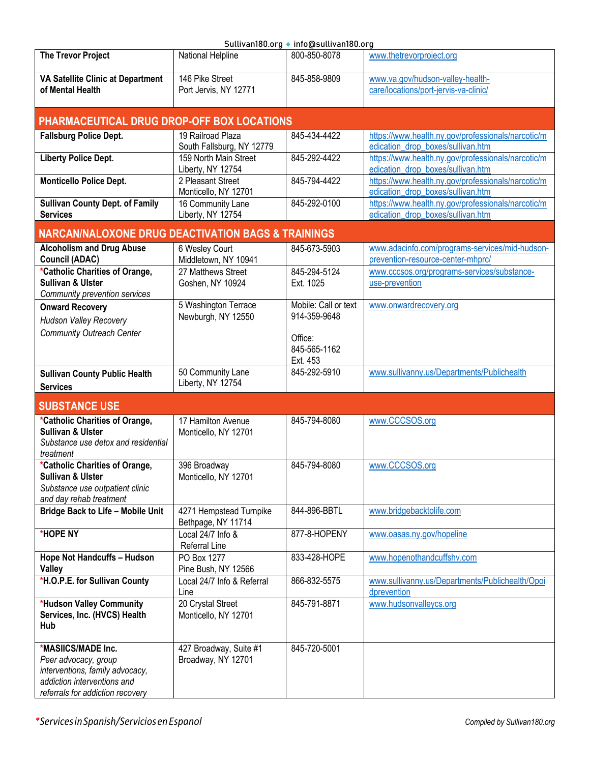| Sullivan180.org ♦ info@sullivan180.org                                                                                                           |                                                |                                                 |                                                                                         |  |
|--------------------------------------------------------------------------------------------------------------------------------------------------|------------------------------------------------|-------------------------------------------------|-----------------------------------------------------------------------------------------|--|
| <b>The Trevor Project</b>                                                                                                                        | National Helpline                              | 800-850-8078                                    | www.thetrevorproject.org                                                                |  |
| VA Satellite Clinic at Department<br>of Mental Health                                                                                            | 146 Pike Street<br>Port Jervis, NY 12771       | 845-858-9809                                    | www.va.gov/hudson-valley-health-<br>care/locations/port-jervis-va-clinic/               |  |
| PHARMACEUTICAL DRUG DROP-OFF BOX LOCATIONS                                                                                                       |                                                |                                                 |                                                                                         |  |
| <b>Fallsburg Police Dept.</b>                                                                                                                    | 19 Railroad Plaza<br>South Fallsburg, NY 12779 | 845-434-4422                                    | https://www.health.ny.gov/professionals/narcotic/m<br>edication_drop_boxes/sullivan.htm |  |
| <b>Liberty Police Dept.</b>                                                                                                                      | 159 North Main Street<br>Liberty, NY 12754     | 845-292-4422                                    | https://www.health.ny.gov/professionals/narcotic/m<br>edication drop boxes/sullivan.htm |  |
| <b>Monticello Police Dept.</b>                                                                                                                   | 2 Pleasant Street<br>Monticello, NY 12701      | 845-794-4422                                    | https://www.health.ny.gov/professionals/narcotic/m<br>edication drop boxes/sullivan.htm |  |
| <b>Sullivan County Dept. of Family</b><br><b>Services</b>                                                                                        | 16 Community Lane<br>Liberty, NY 12754         | 845-292-0100                                    | https://www.health.ny.gov/professionals/narcotic/m<br>edication_drop_boxes/sullivan.htm |  |
| <b>NARCAN/NALOXONE DRUG DEACTIVATION BAGS &amp; TRAININGS</b>                                                                                    |                                                |                                                 |                                                                                         |  |
| <b>Alcoholism and Drug Abuse</b><br><b>Council (ADAC)</b>                                                                                        | 6 Wesley Court<br>Middletown, NY 10941         | 845-673-5903                                    | www.adacinfo.com/programs-services/mid-hudson-<br>prevention-resource-center-mhprc/     |  |
| *Catholic Charities of Orange,<br><b>Sullivan &amp; Ulster</b><br>Community prevention services                                                  | 27 Matthews Street<br>Goshen, NY 10924         | 845-294-5124<br>Ext. 1025                       | www.cccsos.org/programs-services/substance-<br>use-prevention                           |  |
| <b>Onward Recovery</b><br><b>Hudson Valley Recovery</b><br><b>Community Outreach Center</b>                                                      | 5 Washington Terrace<br>Newburgh, NY 12550     | Mobile: Call or text<br>914-359-9648<br>Office: | www.onwardrecovery.org                                                                  |  |
|                                                                                                                                                  |                                                | 845-565-1162<br>Ext. 453                        |                                                                                         |  |
| <b>Sullivan County Public Health</b><br><b>Services</b>                                                                                          | 50 Community Lane<br>Liberty, NY 12754         | 845-292-5910                                    | www.sullivanny.us/Departments/Publichealth                                              |  |
| <b>SUBSTANCE USE</b>                                                                                                                             |                                                |                                                 |                                                                                         |  |
| *Catholic Charities of Orange,<br><b>Sullivan &amp; Ulster</b><br>Substance use detox and residential<br>treatment                               | 17 Hamilton Avenue<br>Monticello, NY 12701     | 845-794-8080                                    | www.CCCSOS.org                                                                          |  |
| *Catholic Charities of Orange,<br><b>Sullivan &amp; Ulster</b><br>Substance use outpatient clinic<br>and day rehab treatment                     | 396 Broadway<br>Monticello, NY 12701           | 845-794-8080                                    | www.CCCSOS.org                                                                          |  |
| <b>Bridge Back to Life - Mobile Unit</b>                                                                                                         | 4271 Hempstead Turnpike<br>Bethpage, NY 11714  | 844-896-BBTL                                    | www.bridgebacktolife.com                                                                |  |
| *HOPE NY                                                                                                                                         | Local 24/7 Info &<br>Referral Line             | 877-8-HOPENY                                    | www.oasas.ny.gov/hopeline                                                               |  |
| Hope Not Handcuffs - Hudson<br>Valley                                                                                                            | PO Box 1277<br>Pine Bush, NY 12566             | 833-428-HOPE                                    | www.hopenothandcuffshv.com                                                              |  |
| *H.O.P.E. for Sullivan County                                                                                                                    | Local 24/7 Info & Referral<br>Line             | 866-832-5575                                    | www.sullivanny.us/Departments/Publichealth/Opoi<br>dprevention                          |  |
| *Hudson Valley Community<br>Services, Inc. (HVCS) Health<br>Hub                                                                                  | 20 Crystal Street<br>Monticello, NY 12701      | 845-791-8871                                    | www.hudsonvalleycs.org                                                                  |  |
| *MASIICS/MADE Inc.<br>Peer advocacy, group<br>interventions, family advocacy,<br>addiction interventions and<br>referrals for addiction recovery | 427 Broadway, Suite #1<br>Broadway, NY 12701   | 845-720-5001                                    |                                                                                         |  |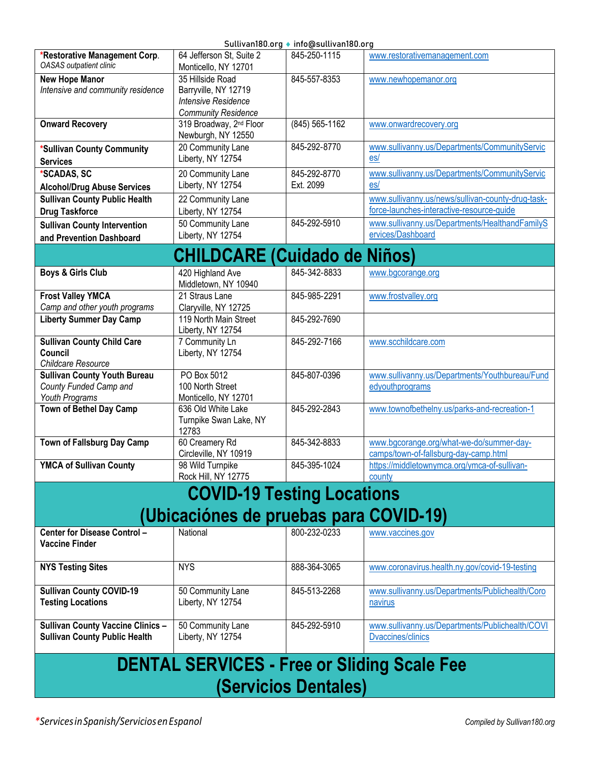<span id="page-3-2"></span><span id="page-3-1"></span><span id="page-3-0"></span>

|                                                                 |                                                    | Suttivariloo.org ▼ imo@suttivariloo.org |                                                   |
|-----------------------------------------------------------------|----------------------------------------------------|-----------------------------------------|---------------------------------------------------|
| *Restorative Management Corp.<br><b>OASAS</b> outpatient clinic | 64 Jefferson St, Suite 2<br>Monticello, NY 12701   | 845-250-1115                            | www.restorativemanagement.com                     |
| <b>New Hope Manor</b>                                           | 35 Hillside Road                                   | 845-557-8353                            | www.newhopemanor.org                              |
| Intensive and community residence                               | Barryville, NY 12719                               |                                         |                                                   |
|                                                                 | <b>Intensive Residence</b>                         |                                         |                                                   |
|                                                                 | <b>Community Residence</b>                         |                                         |                                                   |
| <b>Onward Recovery</b>                                          | 319 Broadway, 2 <sup>nd</sup> Floor                | $(845)$ 565-1162                        | www.onwardrecovery.org                            |
|                                                                 | Newburgh, NY 12550                                 |                                         |                                                   |
|                                                                 |                                                    | 845-292-8770                            |                                                   |
| *Sullivan County Community                                      | 20 Community Lane                                  |                                         | www.sullivanny.us/Departments/CommunityServic     |
| <b>Services</b>                                                 | Liberty, NY 12754                                  |                                         | es/                                               |
| *SCADAS, SC                                                     | 20 Community Lane                                  | 845-292-8770                            | www.sullivanny.us/Departments/CommunityServic     |
| <b>Alcohol/Drug Abuse Services</b>                              | Liberty, NY 12754                                  | Ext. 2099                               | es/                                               |
| <b>Sullivan County Public Health</b>                            | 22 Community Lane                                  |                                         | www.sullivanny.us/news/sullivan-county-drug-task- |
| <b>Drug Taskforce</b>                                           | Liberty, NY 12754                                  |                                         | force-launches-interactive-resource-guide         |
|                                                                 |                                                    | 845-292-5910                            |                                                   |
| <b>Sullivan County Intervention</b>                             | 50 Community Lane                                  |                                         | www.sullivanny.us/Departments/HealthandFamilyS    |
| and Prevention Dashboard                                        | Liberty, NY 12754                                  |                                         | ervices/Dashboard                                 |
|                                                                 | <b>CHILDCARE (Cuidado de Niños)</b>                |                                         |                                                   |
|                                                                 |                                                    |                                         |                                                   |
| <b>Boys &amp; Girls Club</b>                                    | 420 Highland Ave                                   | 845-342-8833                            | www.bgcorange.org                                 |
|                                                                 | Middletown, NY 10940                               |                                         |                                                   |
| <b>Frost Valley YMCA</b>                                        | 21 Straus Lane                                     | 845-985-2291                            | www.frostvalley.org                               |
| Camp and other youth programs                                   | Claryville, NY 12725                               |                                         |                                                   |
| <b>Liberty Summer Day Camp</b>                                  | 119 North Main Street                              | 845-292-7690                            |                                                   |
|                                                                 | Liberty, NY 12754                                  |                                         |                                                   |
| <b>Sullivan County Child Care</b>                               | 7 Community Ln                                     | 845-292-7166                            | www.scchildcare.com                               |
| Council                                                         | Liberty, NY 12754                                  |                                         |                                                   |
| Childcare Resource                                              |                                                    |                                         |                                                   |
| <b>Sullivan County Youth Bureau</b>                             | PO Box 5012                                        | 845-807-0396                            | www.sullivanny.us/Departments/Youthbureau/Fund    |
| County Funded Camp and                                          | 100 North Street                                   |                                         | edyouthprograms                                   |
| Youth Programs                                                  | Monticello, NY 12701                               |                                         |                                                   |
| Town of Bethel Day Camp                                         | 636 Old White Lake                                 | 845-292-2843                            | www.townofbethelny.us/parks-and-recreation-1      |
|                                                                 | Turnpike Swan Lake, NY                             |                                         |                                                   |
|                                                                 | 12783                                              |                                         |                                                   |
| Town of Fallsburg Day Camp                                      | 60 Creamery Rd                                     | 845-342-8833                            | www.bgcorange.org/what-we-do/summer-day-          |
|                                                                 | Circleville, NY 10919                              |                                         | camps/town-of-fallsburg-day-camp.html             |
| <b>YMCA of Sullivan County</b>                                  | 98 Wild Turnpike                                   | 845-395-1024                            | https://middletownymca.org/ymca-of-sullivan-      |
|                                                                 | Rock Hill, NY 12775                                |                                         | county                                            |
|                                                                 |                                                    |                                         |                                                   |
|                                                                 | <b>COVID-19 Testing Locations</b>                  |                                         |                                                   |
|                                                                 |                                                    |                                         |                                                   |
|                                                                 | (Ubicaciónes de pruebas para COVID-19)             |                                         |                                                   |
| Center for Disease Control -                                    | National                                           | 800-232-0233                            | www.vaccines.gov                                  |
| <b>Vaccine Finder</b>                                           |                                                    |                                         |                                                   |
|                                                                 |                                                    |                                         |                                                   |
| <b>NYS Testing Sites</b>                                        | <b>NYS</b>                                         | 888-364-3065                            | www.coronavirus.health.ny.gov/covid-19-testing    |
|                                                                 |                                                    |                                         |                                                   |
| <b>Sullivan County COVID-19</b>                                 | 50 Community Lane                                  | 845-513-2268                            | www.sullivanny.us/Departments/Publichealth/Coro   |
| <b>Testing Locations</b>                                        | Liberty, NY 12754                                  |                                         | navirus                                           |
|                                                                 |                                                    |                                         |                                                   |
| <b>Sullivan County Vaccine Clinics -</b>                        | 50 Community Lane                                  | 845-292-5910                            | www.sullivanny.us/Departments/Publichealth/COVI   |
|                                                                 |                                                    |                                         | <b>Dvaccines/clinics</b>                          |
| <b>Sullivan County Public Health</b>                            | Liberty, NY 12754                                  |                                         |                                                   |
|                                                                 |                                                    |                                         |                                                   |
|                                                                 | <b>DENTAL SERVICES - Free or Sliding Scale Fee</b> |                                         |                                                   |
|                                                                 |                                                    |                                         |                                                   |
|                                                                 |                                                    | <b>(Servicios Dentales)</b>             |                                                   |
|                                                                 |                                                    |                                         |                                                   |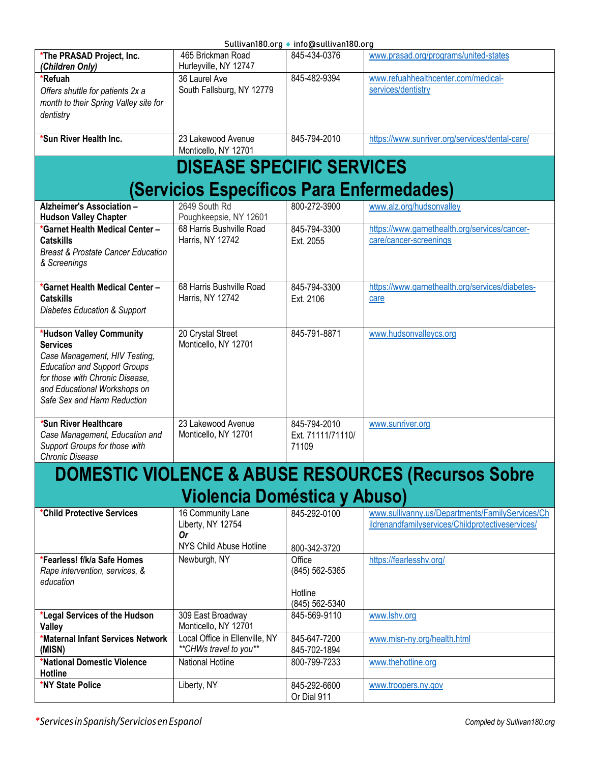<span id="page-4-1"></span><span id="page-4-0"></span>

|                                                                                                                                                                                                                       |                                                           | Sullivan180.org ♦ info@sullivan180.org                |                                                                                                     |
|-----------------------------------------------------------------------------------------------------------------------------------------------------------------------------------------------------------------------|-----------------------------------------------------------|-------------------------------------------------------|-----------------------------------------------------------------------------------------------------|
| *The PRASAD Project, Inc.<br>(Children Only)                                                                                                                                                                          | 465 Brickman Road<br>Hurleyville, NY 12747                | 845-434-0376                                          | www.prasad.org/programs/united-states                                                               |
| *Refuah<br>Offers shuttle for patients 2x a<br>month to their Spring Valley site for<br>dentistry                                                                                                                     | 36 Laurel Ave<br>South Fallsburg, NY 12779                | 845-482-9394                                          | www.refuahhealthcenter.com/medical-<br>services/dentistry                                           |
| *Sun River Health Inc.                                                                                                                                                                                                | 23 Lakewood Avenue<br>Monticello, NY 12701                | 845-794-2010                                          | https://www.sunriver.org/services/dental-care/                                                      |
|                                                                                                                                                                                                                       | <b>DISEASE SPECIFIC SERVICES</b>                          |                                                       |                                                                                                     |
|                                                                                                                                                                                                                       | (Servicios Específicos Para Enfermedades)                 |                                                       |                                                                                                     |
| Alzheimer's Association -<br><b>Hudson Valley Chapter</b>                                                                                                                                                             | 2649 South Rd<br>Poughkeepsie, NY 12601                   | 800-272-3900                                          | www.alz.org/hudsonvalley                                                                            |
| *Garnet Health Medical Center -<br><b>Catskills</b><br><b>Breast &amp; Prostate Cancer Education</b><br>& Screenings                                                                                                  | 68 Harris Bushville Road<br>Harris, NY 12742              | 845-794-3300<br>Ext. 2055                             | https://www.garnethealth.org/services/cancer-<br>care/cancer-screenings                             |
| *Garnet Health Medical Center-<br><b>Catskills</b><br>Diabetes Education & Support                                                                                                                                    | 68 Harris Bushville Road<br>Harris, NY 12742              | 845-794-3300<br>Ext. 2106                             | https://www.garnethealth.org/services/diabetes-<br>care                                             |
| *Hudson Valley Community<br><b>Services</b><br>Case Management, HIV Testing,<br><b>Education and Support Groups</b><br>for those with Chronic Disease,<br>and Educational Workshops on<br>Safe Sex and Harm Reduction | 20 Crystal Street<br>Monticello, NY 12701                 | 845-791-8871                                          | www.hudsonvalleycs.org                                                                              |
| *Sun River Healthcare<br>Case Management, Education and<br>Support Groups for those with<br>Chronic Disease                                                                                                           | 23 Lakewood Avenue<br>Monticello, NY 12701                | 845-794-2010<br>Ext. 71111/71110/<br>71109            | www.sunriver.org                                                                                    |
|                                                                                                                                                                                                                       |                                                           |                                                       | <b>DOMESTIC VIOLENCE &amp; ABUSE RESOURCES (Recursos Sobre</b>                                      |
|                                                                                                                                                                                                                       | <b>Violencia Doméstica y Abuso)</b>                       |                                                       |                                                                                                     |
| *Child Protective Services                                                                                                                                                                                            | 16 Community Lane<br>Liberty, NY 12754<br>0r              | 845-292-0100                                          | www.sullivanny.us/Departments/FamilyServices/Ch<br>ildrenandfamilyservices/Childprotectiveservices/ |
|                                                                                                                                                                                                                       | NYS Child Abuse Hotline                                   | 800-342-3720                                          |                                                                                                     |
| *Fearless! f/k/a Safe Homes<br>Rape intervention, services, &<br>education                                                                                                                                            | Newburgh, NY                                              | Office<br>(845) 562-5365<br>Hotline<br>(845) 562-5340 | https://fearlesshv.org/                                                                             |
| *Legal Services of the Hudson<br><b>Valley</b>                                                                                                                                                                        | 309 East Broadway<br>Monticello, NY 12701                 | 845-569-9110                                          | www.lshv.org                                                                                        |
| <b>*Maternal Infant Services Network</b><br>(MISN)                                                                                                                                                                    | Local Office in Ellenville, NY<br>** CHWs travel to you** | 845-647-7200<br>845-702-1894                          | www.misn-ny.org/health.html                                                                         |
| *National Domestic Violence<br>Hotline                                                                                                                                                                                | <b>National Hotline</b>                                   | 800-799-7233                                          | www.thehotline.org                                                                                  |
| *NY State Police                                                                                                                                                                                                      | Liberty, NY                                               | 845-292-6600<br>Or Dial 911                           | www.troopers.ny.gov                                                                                 |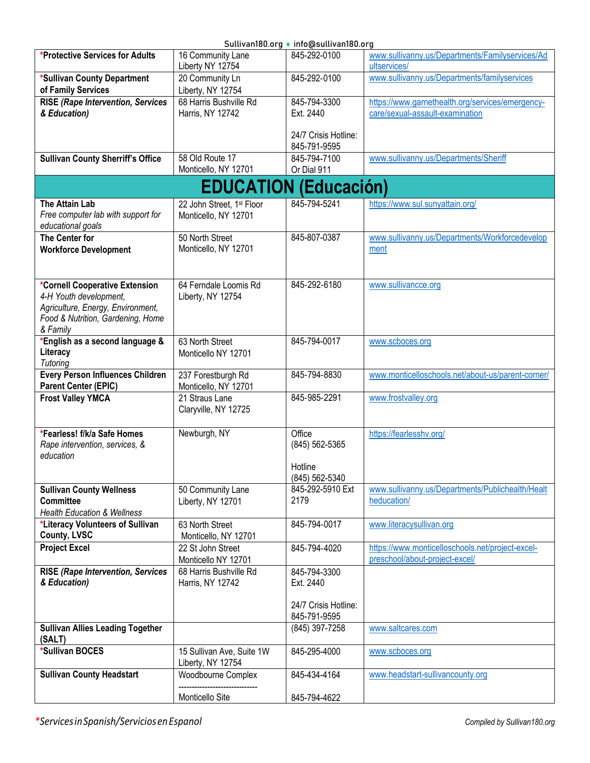<span id="page-5-0"></span>

|                                          |                                       | Sullivan180.org ♦ info@sullivan180.org |                                                                 |
|------------------------------------------|---------------------------------------|----------------------------------------|-----------------------------------------------------------------|
| *Protective Services for Adults          | 16 Community Lane<br>Liberty NY 12754 | 845-292-0100                           | www.sullivanny.us/Departments/Familyservices/Ad<br>ultservices/ |
| *Sullivan County Department              | 20 Community Ln                       | 845-292-0100                           | www.sullivanny.us/Departments/familyservices                    |
| of Family Services                       | Liberty, NY 12754                     |                                        |                                                                 |
| <b>RISE (Rape Intervention, Services</b> | 68 Harris Bushville Rd                | 845-794-3300                           | https://www.garnethealth.org/services/emergency-                |
| & Education)                             | Harris, NY 12742                      | Ext. 2440                              | care/sexual-assault-examination                                 |
|                                          |                                       |                                        |                                                                 |
|                                          |                                       | 24/7 Crisis Hotline:                   |                                                                 |
|                                          |                                       | 845-791-9595                           |                                                                 |
| <b>Sullivan County Sherriff's Office</b> | 58 Old Route 17                       | 845-794-7100                           | www.sullivanny.us/Departments/Sheriff                           |
|                                          | Monticello, NY 12701                  | Or Dial 911                            |                                                                 |
|                                          | <b>EDUCATION (Educación)</b>          |                                        |                                                                 |
| The Attain Lab                           | 22 John Street, 1st Floor             | 845-794-5241                           | https://www.sul.sunyattain.org/                                 |
| Free computer lab with support for       | Monticello, NY 12701                  |                                        |                                                                 |
| educational goals                        |                                       |                                        |                                                                 |
| <b>The Center for</b>                    | 50 North Street                       | 845-807-0387                           | www.sullivanny.us/Departments/Workforcedevelop                  |
| <b>Workforce Development</b>             | Monticello, NY 12701                  |                                        | ment                                                            |
|                                          |                                       |                                        |                                                                 |
|                                          |                                       |                                        |                                                                 |
| *Cornell Cooperative Extension           | 64 Ferndale Loomis Rd                 | 845-292-6180                           | www.sullivancce.org                                             |
| 4-H Youth development,                   | Liberty, NY 12754                     |                                        |                                                                 |
| Agriculture, Energy, Environment,        |                                       |                                        |                                                                 |
| Food & Nutrition, Gardening, Home        |                                       |                                        |                                                                 |
| & Family                                 |                                       |                                        |                                                                 |
| *English as a second language &          | 63 North Street                       | 845-794-0017                           | www.scboces.org                                                 |
| Literacy                                 | Monticello NY 12701                   |                                        |                                                                 |
| Tutoring                                 |                                       |                                        |                                                                 |
| <b>Every Person Influences Children</b>  | 237 Forestburgh Rd                    | 845-794-8830                           | www.monticelloschools.net/about-us/parent-corner/               |
| <b>Parent Center (EPIC)</b>              | Monticello, NY 12701                  |                                        |                                                                 |
| <b>Frost Valley YMCA</b>                 | 21 Straus Lane                        | 845-985-2291                           | www.frostvalley.org                                             |
|                                          | Claryville, NY 12725                  |                                        |                                                                 |
|                                          |                                       |                                        |                                                                 |
| *Fearless! f/k/a Safe Homes              | Newburgh, NY                          | Office                                 | https://fearlesshv.org/                                         |
| Rape intervention, services, &           |                                       | (845) 562-5365                         |                                                                 |
| education                                |                                       |                                        |                                                                 |
|                                          |                                       | Hotline                                |                                                                 |
|                                          |                                       | (845) 562-5340                         |                                                                 |
| <b>Sullivan County Wellness</b>          | 50 Community Lane                     | 845-292-5910 Ext                       | www.sullivanny.us/Departments/Publichealth/Healt                |
| <b>Committee</b>                         | Liberty, NY 12701                     | 2179                                   | heducation/                                                     |
| <b>Health Education &amp; Wellness</b>   |                                       |                                        |                                                                 |
| *Literacy Volunteers of Sullivan         | 63 North Street                       | 845-794-0017                           | www.literacysullivan.org                                        |
| <b>County, LVSC</b>                      | Monticello, NY 12701                  |                                        |                                                                 |
| <b>Project Excel</b>                     | 22 St John Street                     | 845-794-4020                           | https://www.monticelloschools.net/project-excel-                |
|                                          | Monticello NY 12701                   |                                        | preschool/about-project-excel/                                  |
| <b>RISE (Rape Intervention, Services</b> | 68 Harris Bushville Rd                | 845-794-3300                           |                                                                 |
| & Education)                             | Harris, NY 12742                      | Ext. 2440                              |                                                                 |
|                                          |                                       |                                        |                                                                 |
|                                          |                                       | 24/7 Crisis Hotline:                   |                                                                 |
|                                          |                                       | 845-791-9595                           |                                                                 |
| <b>Sullivan Allies Leading Together</b>  |                                       | (845) 397-7258                         | www.saltcares.com                                               |
| (SALT)                                   |                                       |                                        |                                                                 |
| *Sullivan BOCES                          | 15 Sullivan Ave, Suite 1W             | 845-295-4000                           | www.scboces.org                                                 |
|                                          | Liberty, NY 12754                     |                                        |                                                                 |
| <b>Sullivan County Headstart</b>         | Woodbourne Complex                    | 845-434-4164                           | www.headstart-sullivancounty.org                                |
|                                          |                                       |                                        |                                                                 |
|                                          | Monticello Site                       | 845-794-4622                           |                                                                 |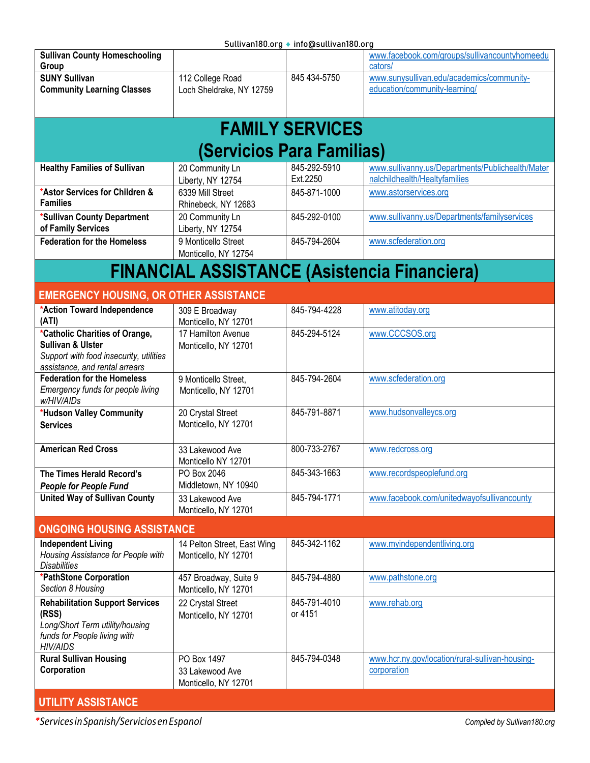Sullivan180.org ♦ [info@sullivan180.org](mailto:info@sullivan180.org)

<span id="page-6-1"></span><span id="page-6-0"></span>

| <b>Sullivan County Homeschooling</b><br>Group                                                                                               |                                                        |                          | www.facebook.com/groups/sullivancountyhomeedu<br>cators/                          |
|---------------------------------------------------------------------------------------------------------------------------------------------|--------------------------------------------------------|--------------------------|-----------------------------------------------------------------------------------|
| <b>SUNY Sullivan</b><br><b>Community Learning Classes</b>                                                                                   | 112 College Road<br>Loch Sheldrake, NY 12759           | 845 434-5750             | www.sunysullivan.edu/academics/community-<br>education/community-learning/        |
|                                                                                                                                             |                                                        |                          |                                                                                   |
|                                                                                                                                             |                                                        | <b>FAMILY SERVICES</b>   |                                                                                   |
|                                                                                                                                             | (Servicios Para Familias)                              |                          |                                                                                   |
| <b>Healthy Families of Sullivan</b>                                                                                                         | 20 Community Ln<br>Liberty, NY 12754                   | 845-292-5910<br>Ext.2250 | www.sullivanny.us/Departments/Publichealth/Mater<br>nalchildhealth/Healtyfamilies |
| *Astor Services for Children &<br><b>Families</b>                                                                                           | 6339 Mill Street<br>Rhinebeck, NY 12683                | 845-871-1000             | www.astorservices.org                                                             |
| *Sullivan County Department<br>of Family Services                                                                                           | 20 Community Ln<br>Liberty, NY 12754                   | 845-292-0100             | www.sullivanny.us/Departments/familyservices                                      |
| <b>Federation for the Homeless</b>                                                                                                          | 9 Monticello Street<br>Monticello, NY 12754            | 845-794-2604             | www.scfederation.org                                                              |
|                                                                                                                                             |                                                        |                          | <b>FINANCIAL ASSISTANCE (Asistencia Financiera)</b>                               |
| <b>EMERGENCY HOUSING, OR OTHER ASSISTANCE</b>                                                                                               |                                                        |                          |                                                                                   |
| *Action Toward Independence<br>(ATI)                                                                                                        | 309 E Broadway<br>Monticello, NY 12701                 | 845-794-4228             | www.atitoday.org                                                                  |
| *Catholic Charities of Orange,<br><b>Sullivan &amp; Ulster</b><br>Support with food insecurity, utilities<br>assistance, and rental arrears | 17 Hamilton Avenue<br>Monticello, NY 12701             | 845-294-5124             | www.CCCSOS.org                                                                    |
| <b>Federation for the Homeless</b><br>Emergency funds for people living<br>w/HIV/AIDs                                                       | 9 Monticello Street.<br>Monticello, NY 12701           | 845-794-2604             | www.scfederation.org                                                              |
| *Hudson Valley Community<br><b>Services</b>                                                                                                 | 20 Crystal Street<br>Monticello, NY 12701              | 845-791-8871             | www.hudsonvalleycs.org                                                            |
| <b>American Red Cross</b>                                                                                                                   | 33 Lakewood Ave<br>Monticello NY 12701                 | 800-733-2767             | www.redcross.org                                                                  |
| The Times Herald Record's<br><b>People for People Fund</b>                                                                                  | PO Box 2046<br>Middletown, NY 10940                    | 845-343-1663             | www.recordspeoplefund.org                                                         |
| <b>United Way of Sullivan County</b>                                                                                                        | 33 Lakewood Ave<br>Monticello, NY 12701                | 845-794-1771             | www.facebook.com/unitedwayofsullivancounty                                        |
| <b>ONGOING HOUSING ASSISTANCE</b>                                                                                                           |                                                        |                          |                                                                                   |
| <b>Independent Living</b><br>Housing Assistance for People with<br><b>Disabilities</b>                                                      | 14 Pelton Street, East Wing<br>Monticello, NY 12701    | 845-342-1162             | www.myindependentliving.org                                                       |
| *PathStone Corporation<br>Section 8 Housing                                                                                                 | 457 Broadway, Suite 9<br>Monticello, NY 12701          | 845-794-4880             | www.pathstone.org                                                                 |
| <b>Rehabilitation Support Services</b><br>(RSS)<br>Long/Short Term utility/housing<br>funds for People living with<br><b>HIV/AIDS</b>       | 22 Crystal Street<br>Monticello, NY 12701              | 845-791-4010<br>or 4151  | www.rehab.org                                                                     |
| <b>Rural Sullivan Housing</b><br>Corporation                                                                                                | PO Box 1497<br>33 Lakewood Ave<br>Monticello, NY 12701 | 845-794-0348             | www.hcr.ny.gov/location/rural-sullivan-housing-<br>corporation                    |
| <b>UTILITY ASSISTANCE</b>                                                                                                                   |                                                        |                          |                                                                                   |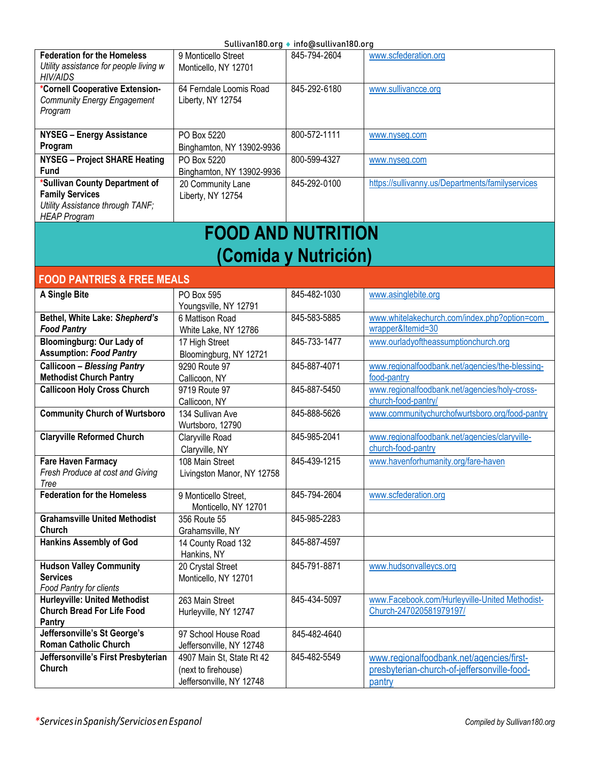| <b>Federation for the Homeless</b><br>Utility assistance for people living w<br>HIV/AIDS                            | 9 Monticello Street<br>Monticello, NY 12701  | 845-794-2604 | www.scfederation.org                             |  |
|---------------------------------------------------------------------------------------------------------------------|----------------------------------------------|--------------|--------------------------------------------------|--|
| *Cornell Cooperative Extension-<br><b>Community Energy Engagement</b><br>Program                                    | 64 Ferndale Loomis Road<br>Liberty, NY 12754 | 845-292-6180 | www.sullivancce.org                              |  |
| <b>NYSEG - Energy Assistance</b>                                                                                    | PO Box 5220                                  | 800-572-1111 | www.nyseq.com                                    |  |
| Program                                                                                                             | Binghamton, NY 13902-9936                    |              |                                                  |  |
| <b>NYSEG - Project SHARE Heating</b>                                                                                | PO Box 5220                                  | 800-599-4327 | www.nyseq.com                                    |  |
| <b>Fund</b>                                                                                                         | Binghamton, NY 13902-9936                    |              |                                                  |  |
| *Sullivan County Department of<br><b>Family Services</b><br>Utility Assistance through TANF;<br><b>HEAP Program</b> | 20 Community Lane<br>Liberty, NY 12754       | 845-292-0100 | https://sullivanny.us/Departments/familyservices |  |
| EAAN ANN NHTDITIAN                                                                                                  |                                              |              |                                                  |  |

### **FOOD AND NUTRITION (Comida y Nutrición)**

#### <span id="page-7-0"></span>**FOOD PANTRIES & FREE MEALS**

| A Single Bite                        | PO Box 595                 | 845-482-1030 | www.asinglebite.org                             |
|--------------------------------------|----------------------------|--------------|-------------------------------------------------|
|                                      | Youngsville, NY 12791      |              |                                                 |
| Bethel, White Lake: Shepherd's       | 6 Mattison Road            | 845-583-5885 | www.whitelakechurch.com/index.php?option=com    |
| <b>Food Pantry</b>                   | White Lake, NY 12786       |              | wrapper&Itemid=30                               |
| Bloomingburg: Our Lady of            | 17 High Street             | 845-733-1477 | www.ourladyoftheassumptionchurch.org            |
| <b>Assumption: Food Pantry</b>       | Bloomingburg, NY 12721     |              |                                                 |
| <b>Callicoon - Blessing Pantry</b>   | 9290 Route 97              | 845-887-4071 | www.regionalfoodbank.net/agencies/the-blessing- |
| <b>Methodist Church Pantry</b>       | Callicoon, NY              |              | food-pantry                                     |
| <b>Callicoon Holy Cross Church</b>   | 9719 Route 97              | 845-887-5450 | www.regionalfoodbank.net/agencies/holy-cross-   |
|                                      | Callicoon, NY              |              | church-food-pantry/                             |
| <b>Community Church of Wurtsboro</b> | 134 Sullivan Ave           | 845-888-5626 | www.communitychurchofwurtsboro.org/food-pantry  |
|                                      | Wurtsboro, 12790           |              |                                                 |
| <b>Claryville Reformed Church</b>    | Claryville Road            | 845-985-2041 | www.regionalfoodbank.net/agencies/claryville-   |
|                                      | Claryville, NY             |              | church-food-pantry                              |
| <b>Fare Haven Farmacy</b>            | 108 Main Street            | 845-439-1215 | www.havenforhumanity.org/fare-haven             |
| Fresh Produce at cost and Giving     | Livingston Manor, NY 12758 |              |                                                 |
| Tree                                 |                            |              |                                                 |
| <b>Federation for the Homeless</b>   | 9 Monticello Street,       | 845-794-2604 | www.scfederation.org                            |
|                                      | Monticello, NY 12701       |              |                                                 |
| <b>Grahamsville United Methodist</b> | 356 Route 55               | 845-985-2283 |                                                 |
| Church                               | Grahamsville, NY           |              |                                                 |
| <b>Hankins Assembly of God</b>       | 14 County Road 132         | 845-887-4597 |                                                 |
|                                      | Hankins, NY                |              |                                                 |
| <b>Hudson Valley Community</b>       | 20 Crystal Street          | 845-791-8871 | www.hudsonvalleycs.org                          |
| <b>Services</b>                      | Monticello, NY 12701       |              |                                                 |
| Food Pantry for clients              |                            |              |                                                 |
| <b>Hurleyville: United Methodist</b> | 263 Main Street            | 845-434-5097 | www.Facebook.com/Hurleyville-United Methodist-  |
| <b>Church Bread For Life Food</b>    | Hurleyville, NY 12747      |              | Church-247020581979197/                         |
| Pantry                               |                            |              |                                                 |
| Jeffersonville's St George's         | 97 School House Road       | 845-482-4640 |                                                 |
| <b>Roman Catholic Church</b>         | Jeffersonville, NY 12748   |              |                                                 |
| Jeffersonville's First Presbyterian  | 4907 Main St, State Rt 42  | 845-482-5549 | www.regionalfoodbank.net/agencies/first-        |
| Church                               | (next to firehouse)        |              | presbyterian-church-of-jeffersonville-food-     |
|                                      | Jeffersonville, NY 12748   |              | pantry                                          |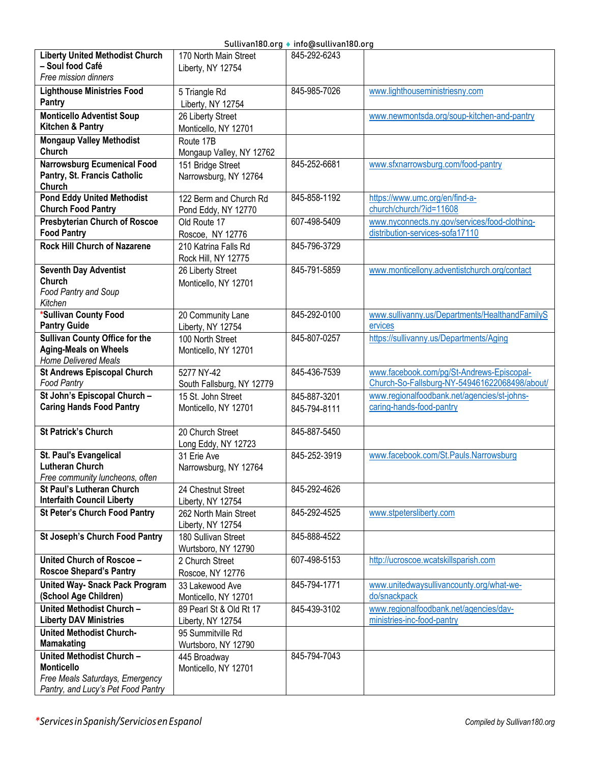| <b>Liberty United Methodist Church</b> | 170 North Main Street     | 845-292-6243 |                                                |
|----------------------------------------|---------------------------|--------------|------------------------------------------------|
| - Soul food Café                       | Liberty, NY 12754         |              |                                                |
| Free mission dinners                   |                           |              |                                                |
| <b>Lighthouse Ministries Food</b>      | 5 Triangle Rd             | 845-985-7026 | www.lighthouseministriesny.com                 |
| Pantry                                 | Liberty, NY 12754         |              |                                                |
| <b>Monticello Adventist Soup</b>       |                           |              | www.newmontsda.org/soup-kitchen-and-pantry     |
|                                        | 26 Liberty Street         |              |                                                |
| Kitchen & Pantry                       | Monticello, NY 12701      |              |                                                |
| <b>Mongaup Valley Methodist</b>        | Route 17B                 |              |                                                |
| Church                                 | Mongaup Valley, NY 12762  |              |                                                |
| <b>Narrowsburg Ecumenical Food</b>     | 151 Bridge Street         | 845-252-6681 | www.sfxnarrowsburg.com/food-pantry             |
| Pantry, St. Francis Catholic           | Narrowsburg, NY 12764     |              |                                                |
| Church                                 |                           |              |                                                |
| <b>Pond Eddy United Methodist</b>      | 122 Berm and Church Rd    | 845-858-1192 | https://www.umc.org/en/find-a-                 |
| <b>Church Food Pantry</b>              | Pond Eddy, NY 12770       |              | church/church/?id=11608                        |
| <b>Presbyterian Church of Roscoe</b>   | Old Route 17              | 607-498-5409 | www.nyconnects.ny.gov/services/food-clothing-  |
| <b>Food Pantry</b>                     |                           |              | distribution-services-sofa17110                |
|                                        | Roscoe, NY 12776          |              |                                                |
| <b>Rock Hill Church of Nazarene</b>    | 210 Katrina Falls Rd      | 845-796-3729 |                                                |
|                                        | Rock Hill, NY 12775       |              |                                                |
| <b>Seventh Day Adventist</b>           | 26 Liberty Street         | 845-791-5859 | www.monticellony.adventistchurch.org/contact   |
| Church                                 | Monticello, NY 12701      |              |                                                |
| Food Pantry and Soup                   |                           |              |                                                |
| Kitchen                                |                           |              |                                                |
| *Sullivan County Food                  | 20 Community Lane         | 845-292-0100 | www.sullivanny.us/Departments/HealthandFamilyS |
| <b>Pantry Guide</b>                    | Liberty, NY 12754         |              | ervices                                        |
| <b>Sullivan County Office for the</b>  | 100 North Street          | 845-807-0257 | https://sullivanny.us/Departments/Aging        |
| <b>Aging-Meals on Wheels</b>           |                           |              |                                                |
| <b>Home Delivered Meals</b>            | Monticello, NY 12701      |              |                                                |
| <b>St Andrews Episcopal Church</b>     | 5277 NY-42                | 845-436-7539 | www.facebook.com/pg/St-Andrews-Episcopal-      |
| <b>Food Pantry</b>                     |                           |              | Church-So-Fallsburg-NY-549461622068498/about/  |
|                                        | South Fallsburg, NY 12779 |              |                                                |
| St John's Episcopal Church -           | 15 St. John Street        | 845-887-3201 | www.regionalfoodbank.net/agencies/st-johns-    |
| <b>Caring Hands Food Pantry</b>        | Monticello, NY 12701      | 845-794-8111 | caring-hands-food-pantry                       |
|                                        |                           |              |                                                |
| <b>St Patrick's Church</b>             | 20 Church Street          | 845-887-5450 |                                                |
|                                        | Long Eddy, NY 12723       |              |                                                |
| St. Paul's Evangelical                 | 31 Erie Ave               | 845-252-3919 | www.facebook.com/St.Pauls.Narrowsburg          |
| <b>Lutheran Church</b>                 | Narrowsburg, NY 12764     |              |                                                |
| Free community luncheons, often        |                           |              |                                                |
| <b>St Paul's Lutheran Church</b>       | 24 Chestnut Street        | 845-292-4626 |                                                |
| <b>Interfaith Council Liberty</b>      | Liberty, NY 12754         |              |                                                |
| <b>St Peter's Church Food Pantry</b>   | 262 North Main Street     | 845-292-4525 | www.stpetersliberty.com                        |
|                                        | Liberty, NY 12754         |              |                                                |
| St Joseph's Church Food Pantry         |                           | 845-888-4522 |                                                |
|                                        | 180 Sullivan Street       |              |                                                |
|                                        | Wurtsboro, NY 12790       |              |                                                |
| United Church of Roscoe -              | 2 Church Street           | 607-498-5153 | http://ucroscoe.wcatskillsparish.com           |
| <b>Roscoe Shepard's Pantry</b>         | Roscoe, NY 12776          |              |                                                |
| <b>United Way- Snack Pack Program</b>  | 33 Lakewood Ave           | 845-794-1771 | www.unitedwaysullivancounty.org/what-we-       |
| (School Age Children)                  | Monticello, NY 12701      |              | do/snackpack                                   |
| United Methodist Church -              | 89 Pearl St & Old Rt 17   | 845-439-3102 | www.regionalfoodbank.net/agencies/dav-         |
| <b>Liberty DAV Ministries</b>          | Liberty, NY 12754         |              | ministries-inc-food-pantry                     |
| <b>United Methodist Church-</b>        | 95 Summitville Rd         |              |                                                |
| <b>Mamakating</b>                      | Wurtsboro, NY 12790       |              |                                                |
| United Methodist Church -              |                           | 845-794-7043 |                                                |
| <b>Monticello</b>                      | 445 Broadway              |              |                                                |
|                                        | Monticello, NY 12701      |              |                                                |
| Free Meals Saturdays, Emergency        |                           |              |                                                |
| Pantry, and Lucy's Pet Food Pantry     |                           |              |                                                |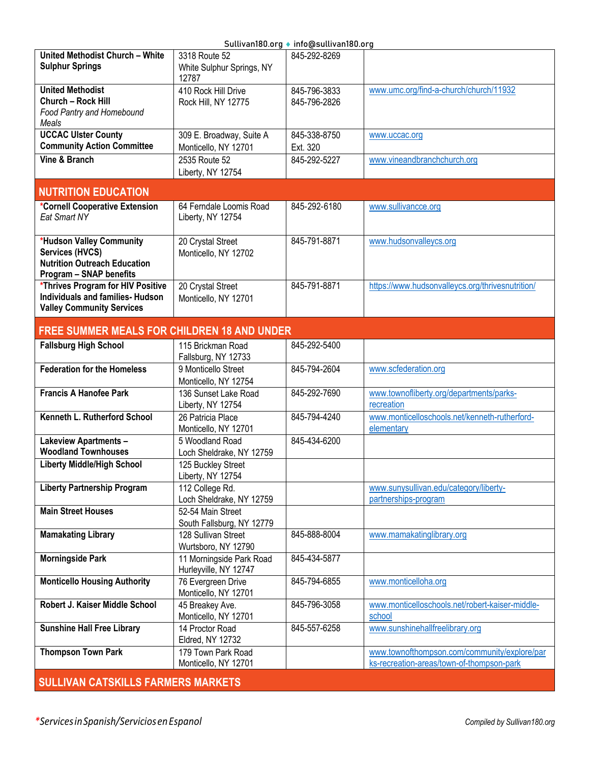|                                                                                                                      |                                                     | SuttivaliToo.org ♥ imo@suttivaliToo.org |                                                                                           |
|----------------------------------------------------------------------------------------------------------------------|-----------------------------------------------------|-----------------------------------------|-------------------------------------------------------------------------------------------|
| United Methodist Church - White<br><b>Sulphur Springs</b>                                                            | 3318 Route 52<br>White Sulphur Springs, NY<br>12787 | 845-292-8269                            |                                                                                           |
| <b>United Methodist</b><br>Church - Rock Hill<br>Food Pantry and Homebound<br>Meals                                  | 410 Rock Hill Drive<br>Rock Hill, NY 12775          | 845-796-3833<br>845-796-2826            | www.umc.org/find-a-church/church/11932                                                    |
| <b>UCCAC Ulster County</b>                                                                                           | 309 E. Broadway, Suite A                            | 845-338-8750                            | www.uccac.org                                                                             |
| <b>Community Action Committee</b>                                                                                    | Monticello, NY 12701                                | Ext. 320                                |                                                                                           |
| Vine & Branch                                                                                                        | 2535 Route 52<br>Liberty, NY 12754                  | 845-292-5227                            | www.vineandbranchchurch.org                                                               |
| <b>NUTRITION EDUCATION</b>                                                                                           |                                                     |                                         |                                                                                           |
| *Cornell Cooperative Extension<br>Eat Smart NY                                                                       | 64 Ferndale Loomis Road<br>Liberty, NY 12754        | 845-292-6180                            | www.sullivancce.org                                                                       |
| *Hudson Valley Community<br>Services (HVCS)<br><b>Nutrition Outreach Education</b><br><b>Program - SNAP benefits</b> | 20 Crystal Street<br>Monticello, NY 12702           | 845-791-8871                            | www.hudsonvalleycs.org                                                                    |
| *Thrives Program for HIV Positive<br>Individuals and families- Hudson<br><b>Valley Community Services</b>            | 20 Crystal Street<br>Monticello, NY 12701           | 845-791-8871                            | https://www.hudsonvalleycs.org/thrivesnutrition/                                          |
| <b>FREE SUMMER MEALS FOR CHILDREN 18 AND UNDER</b>                                                                   |                                                     |                                         |                                                                                           |
| <b>Fallsburg High School</b>                                                                                         | 115 Brickman Road<br>Fallsburg, NY 12733            | 845-292-5400                            |                                                                                           |
| <b>Federation for the Homeless</b>                                                                                   | 9 Monticello Street<br>Monticello, NY 12754         | 845-794-2604                            | www.scfederation.org                                                                      |
| <b>Francis A Hanofee Park</b>                                                                                        | 136 Sunset Lake Road<br>Liberty, NY 12754           | 845-292-7690                            | www.townofliberty.org/departments/parks-<br>recreation                                    |
| Kenneth L. Rutherford School                                                                                         | 26 Patricia Place<br>Monticello, NY 12701           | 845-794-4240                            | www.monticelloschools.net/kenneth-rutherford-<br>elementary                               |
| <b>Lakeview Apartments -</b><br><b>Woodland Townhouses</b>                                                           | 5 Woodland Road<br>Loch Sheldrake, NY 12759         | 845-434-6200                            |                                                                                           |
| <b>Liberty Middle/High School</b>                                                                                    | 125 Buckley Street                                  |                                         |                                                                                           |
|                                                                                                                      | Liberty, NY 12754                                   |                                         |                                                                                           |
| <b>Liberty Partnership Program</b>                                                                                   | 112 College Rd.<br>Loch Sheldrake, NY 12759         |                                         | www.sunysullivan.edu/category/liberty-<br>partnerships-program                            |
| <b>Main Street Houses</b>                                                                                            | 52-54 Main Street<br>South Fallsburg, NY 12779      |                                         |                                                                                           |
| <b>Mamakating Library</b>                                                                                            | 128 Sullivan Street<br>Wurtsboro, NY 12790          | 845-888-8004                            | www.mamakatinglibrary.org                                                                 |
| <b>Morningside Park</b>                                                                                              | 11 Morningside Park Road<br>Hurleyville, NY 12747   | 845-434-5877                            |                                                                                           |
| <b>Monticello Housing Authority</b>                                                                                  | 76 Evergreen Drive<br>Monticello, NY 12701          | 845-794-6855                            | www.monticelloha.org                                                                      |
| Robert J. Kaiser Middle School                                                                                       | 45 Breakey Ave.<br>Monticello, NY 12701             | 845-796-3058                            | www.monticelloschools.net/robert-kaiser-middle-<br>school                                 |
| <b>Sunshine Hall Free Library</b>                                                                                    | 14 Proctor Road<br>Eldred, NY 12732                 | 845-557-6258                            | www.sunshinehallfreelibrary.org                                                           |
| <b>Thompson Town Park</b>                                                                                            | 179 Town Park Road<br>Monticello, NY 12701          |                                         | www.townofthompson.com/community/explore/par<br>ks-recreation-areas/town-of-thompson-park |
| <b>SULLIVAN CATSKILLS FARMERS MARKETS</b>                                                                            |                                                     |                                         |                                                                                           |
|                                                                                                                      |                                                     |                                         |                                                                                           |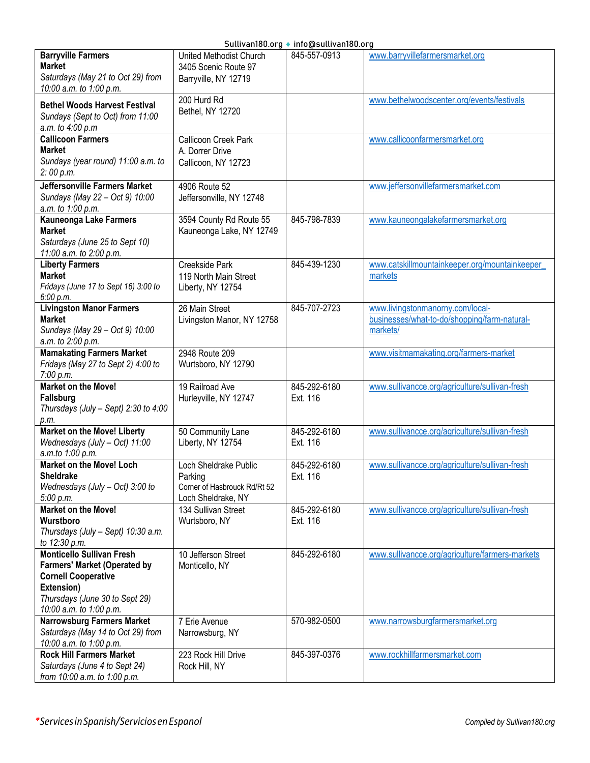|  | Sullivan180.org ♦ info@sullivan180.org |  |
|--|----------------------------------------|--|
|  |                                        |  |

|                                                                                                                                                                                  |                                                                                        | Sutuvani80.org ● Info@sutuvani80.org |                                                                                              |
|----------------------------------------------------------------------------------------------------------------------------------------------------------------------------------|----------------------------------------------------------------------------------------|--------------------------------------|----------------------------------------------------------------------------------------------|
| <b>Barryville Farmers</b><br><b>Market</b><br>Saturdays (May 21 to Oct 29) from<br>10:00 a.m. to 1:00 p.m.                                                                       | United Methodist Church<br>3405 Scenic Route 97<br>Barryville, NY 12719                | 845-557-0913                         | www.barryvillefarmersmarket.org                                                              |
| <b>Bethel Woods Harvest Festival</b><br>Sundays (Sept to Oct) from 11:00<br>a.m. to 4:00 p.m                                                                                     | 200 Hurd Rd<br>Bethel, NY 12720                                                        |                                      | www.bethelwoodscenter.org/events/festivals                                                   |
| <b>Callicoon Farmers</b><br><b>Market</b><br>Sundays (year round) 11:00 a.m. to<br>2:00 p.m.                                                                                     | Callicoon Creek Park<br>A. Dorrer Drive<br>Callicoon, NY 12723                         |                                      | www.callicoonfarmersmarket.org                                                               |
| Jeffersonville Farmers Market<br>Sundays (May 22 - Oct 9) 10:00<br>a.m. to 1:00 p.m.                                                                                             | 4906 Route 52<br>Jeffersonville, NY 12748                                              |                                      | www.jeffersonvillefarmersmarket.com                                                          |
| <b>Kauneonga Lake Farmers</b><br><b>Market</b><br>Saturdays (June 25 to Sept 10)<br>11:00 a.m. to 2:00 p.m.                                                                      | 3594 County Rd Route 55<br>Kauneonga Lake, NY 12749                                    | 845-798-7839                         | www.kauneongalakefarmersmarket.org                                                           |
| <b>Liberty Farmers</b><br><b>Market</b><br>Fridays (June 17 to Sept 16) 3:00 to<br>6:00 p.m.                                                                                     | Creekside Park<br>119 North Main Street<br>Liberty, NY 12754                           | 845-439-1230                         | www.catskillmountainkeeper.org/mountainkeeper<br>markets                                     |
| <b>Livingston Manor Farmers</b><br><b>Market</b><br>Sundays (May 29 - Oct 9) 10:00<br>a.m. to 2:00 p.m.                                                                          | 26 Main Street<br>Livingston Manor, NY 12758                                           | 845-707-2723                         | www.livingstonmanorny.com/local-<br>businesses/what-to-do/shopping/farm-natural-<br>markets/ |
| <b>Mamakating Farmers Market</b><br>Fridays (May 27 to Sept 2) 4:00 to<br>7:00 p.m.                                                                                              | 2948 Route 209<br>Wurtsboro, NY 12790                                                  |                                      | www.visitmamakating.org/farmers-market                                                       |
| <b>Market on the Move!</b><br><b>Fallsburg</b><br>Thursdays (July - Sept) 2:30 to 4:00<br>р.т.                                                                                   | 19 Railroad Ave<br>Hurleyville, NY 12747                                               | 845-292-6180<br>Ext. 116             | www.sullivancce.org/agriculture/sullivan-fresh                                               |
| <b>Market on the Move! Liberty</b><br>Wednesdays (July - Oct) 11:00<br>a.m.to 1:00 p.m.                                                                                          | 50 Community Lane<br>Liberty, NY 12754                                                 | 845-292-6180<br>Ext. 116             | www.sullivancce.org/agriculture/sullivan-fresh                                               |
| Market on the Move! Loch<br>Sheldrake<br>Wednesdays (July $-$ Oct) 3:00 to<br>5:00 p.m.                                                                                          | Loch Sheldrake Public<br>Parking<br>Corner of Hasbrouck Rd/Rt 52<br>Loch Sheldrake, NY | 845-292-6180<br>Ext. 116             | www.sullivancce.org/agriculture/sullivan-fresh                                               |
| Market on the Move!<br>Wurstboro<br>Thursdays (July - Sept) 10:30 a.m.<br>to 12:30 p.m.                                                                                          | 134 Sullivan Street<br>Wurtsboro, NY                                                   | 845-292-6180<br>Ext. 116             | www.sullivancce.org/agriculture/sullivan-fresh                                               |
| <b>Monticello Sullivan Fresh</b><br><b>Farmers' Market (Operated by</b><br><b>Cornell Cooperative</b><br>Extension)<br>Thursdays (June 30 to Sept 29)<br>10:00 a.m. to 1:00 p.m. | 10 Jefferson Street<br>Monticello, NY                                                  | 845-292-6180                         | www.sullivancce.org/agriculture/farmers-markets                                              |
| <b>Narrowsburg Farmers Market</b><br>Saturdays (May 14 to Oct 29) from<br>10:00 a.m. to 1:00 p.m.                                                                                | 7 Erie Avenue<br>Narrowsburg, NY                                                       | 570-982-0500                         | www.narrowsburgfarmersmarket.org                                                             |
| <b>Rock Hill Farmers Market</b><br>Saturdays (June 4 to Sept 24)<br>from 10:00 a.m. to 1:00 p.m.                                                                                 | 223 Rock Hill Drive<br>Rock Hill, NY                                                   | 845-397-0376                         | www.rockhillfarmersmarket.com                                                                |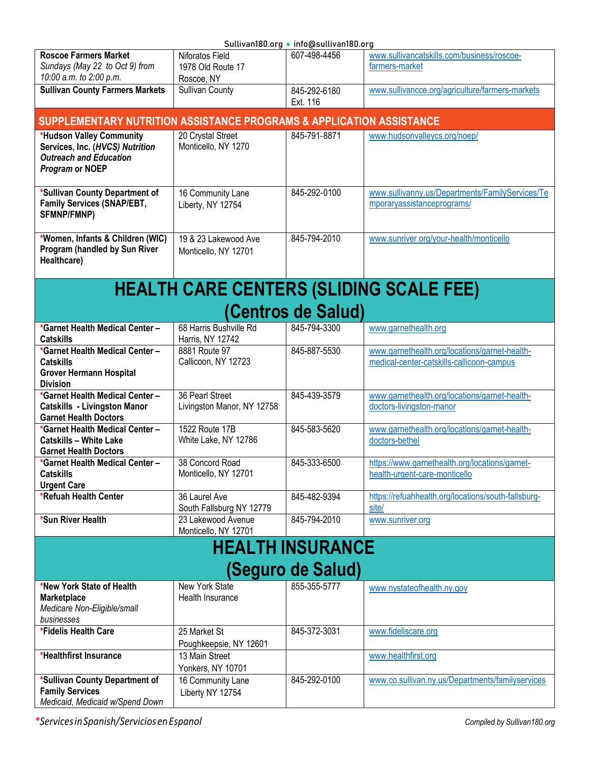<span id="page-11-0"></span>

| Sullivan180.org ♦ info@sullivan180.org                               |                            |                         |                                                     |  |  |
|----------------------------------------------------------------------|----------------------------|-------------------------|-----------------------------------------------------|--|--|
| <b>Roscoe Farmers Market</b>                                         | Niforatos Field            | 607-498-4456            | www.sullivancatskills.com/business/roscoe-          |  |  |
| Sundays (May 22 to Oct 9) from                                       | 1978 Old Route 17          |                         | farmers-market                                      |  |  |
| 10:00 a.m. to 2:00 p.m.                                              | Roscoe, NY                 |                         |                                                     |  |  |
| <b>Sullivan County Farmers Markets</b>                               | Sullivan County            | 845-292-6180            | www.sullivancce.org/agriculture/farmers-markets     |  |  |
|                                                                      |                            |                         |                                                     |  |  |
|                                                                      |                            | Ext. 116                |                                                     |  |  |
| SUPPLEMENTARY NUTRITION ASSISTANCE PROGRAMS & APPLICATION ASSISTANCE |                            |                         |                                                     |  |  |
| *Hudson Valley Community                                             | 20 Crystal Street          | 845-791-8871            | www.hudsonvalleycs.org/noep/                        |  |  |
| Services, Inc. (HVCS) Nutrition                                      | Monticello, NY 1270        |                         |                                                     |  |  |
| <b>Outreach and Education</b>                                        |                            |                         |                                                     |  |  |
| <b>Program or NOEP</b>                                               |                            |                         |                                                     |  |  |
|                                                                      |                            |                         |                                                     |  |  |
| *Sullivan County Department of                                       | 16 Community Lane          | 845-292-0100            | www.sullivanny.us/Departments/FamilyServices/Te     |  |  |
| Family Services (SNAP/EBT,                                           | Liberty, NY 12754          |                         | mporaryassistanceprograms/                          |  |  |
| SFMNP/FMNP)                                                          |                            |                         |                                                     |  |  |
|                                                                      |                            |                         |                                                     |  |  |
|                                                                      |                            | 845-794-2010            |                                                     |  |  |
| *Women, Infants & Children (WIC)                                     | 19 & 23 Lakewood Ave       |                         | www.sunriver.org/your-health/monticello             |  |  |
| Program (handled by Sun River                                        | Monticello, NY 12701       |                         |                                                     |  |  |
| Healthcare)                                                          |                            |                         |                                                     |  |  |
|                                                                      |                            |                         |                                                     |  |  |
|                                                                      |                            |                         | <b>HEALTH CARE CENTERS (SLIDING SCALE FEE)</b>      |  |  |
|                                                                      |                            |                         |                                                     |  |  |
|                                                                      |                            | (Centros de Salud)      |                                                     |  |  |
|                                                                      |                            |                         |                                                     |  |  |
| *Garnet Health Medical Center -                                      | 68 Harris Bushville Rd     | 845-794-3300            | www.garnethealth.org                                |  |  |
| <b>Catskills</b>                                                     | Harris, NY 12742           |                         |                                                     |  |  |
| *Garnet Health Medical Center -                                      | 8881 Route 97              | 845-887-5530            | www.garnethealth.org/locations/garnet-health-       |  |  |
| <b>Catskills</b>                                                     | Callicoon, NY 12723        |                         | medical-center-catskills-callicoon-campus           |  |  |
| <b>Grover Hermann Hospital</b>                                       |                            |                         |                                                     |  |  |
| <b>Division</b>                                                      |                            |                         |                                                     |  |  |
| *Garnet Health Medical Center-                                       | 36 Pearl Street            | 845-439-3579            | www.garnethealth.org/locations/garnet-health-       |  |  |
| <b>Catskills - Livingston Manor</b>                                  | Livingston Manor, NY 12758 |                         | doctors-livingston-manor                            |  |  |
| <b>Garnet Health Doctors</b>                                         |                            |                         |                                                     |  |  |
| *Garnet Health Medical Center-                                       | 1522 Route 17B             | 845-583-5620            | www.garnethealth.org/locations/garnet-health-       |  |  |
| <b>Catskills - White Lake</b>                                        | White Lake, NY 12786       |                         | doctors-bethel                                      |  |  |
| <b>Garnet Health Doctors</b>                                         |                            |                         |                                                     |  |  |
| *Garnet Health Medical Center-                                       | 38 Concord Road            | 845-333-6500            | https://www.garnethealth.org/locations/garnet-      |  |  |
| <b>Catskills</b>                                                     | Monticello, NY 12701       |                         | health-urgent-care-monticello                       |  |  |
| <b>Urgent Care</b>                                                   |                            |                         |                                                     |  |  |
| *Refuah Health Center                                                | 36 Laurel Ave              | 845-482-9394            | https://refuahhealth.org/locations/south-fallsburg- |  |  |
|                                                                      | South Fallsburg NY 12779   |                         | site/                                               |  |  |
| *Sun River Health                                                    | 23 Lakewood Avenue         | 845-794-2010            | www.sunriver.org                                    |  |  |
|                                                                      | Monticello, NY 12701       |                         |                                                     |  |  |
|                                                                      |                            |                         |                                                     |  |  |
|                                                                      |                            | <b>HEALTH INSURANCE</b> |                                                     |  |  |
|                                                                      |                            |                         |                                                     |  |  |
|                                                                      |                            | (Seguro de Salud)       |                                                     |  |  |
| *New York State of Health                                            | <b>New York State</b>      | 855-355-5777            | www.nystateofhealth.ny.gov                          |  |  |
| <b>Marketplace</b>                                                   | Health Insurance           |                         |                                                     |  |  |
| Medicare Non-Eligible/small                                          |                            |                         |                                                     |  |  |
| businesses                                                           |                            |                         |                                                     |  |  |
| *Fidelis Health Care                                                 | 25 Market St               | 845-372-3031            | www.fideliscare.org                                 |  |  |
|                                                                      |                            |                         |                                                     |  |  |
|                                                                      | Poughkeepsie, NY 12601     |                         |                                                     |  |  |
| *Healthfirst Insurance                                               | 13 Main Street             |                         | www.healthfirst.org                                 |  |  |
|                                                                      | Yonkers, NY 10701          |                         |                                                     |  |  |
| *Sullivan County Department of                                       | 16 Community Lane          | 845-292-0100            | www.co.sullivan.ny.us/Departments/familyservices    |  |  |
| <b>Family Services</b>                                               | Liberty NY 12754           |                         |                                                     |  |  |
| Medicaid, Medicaid w/Spend Down                                      |                            |                         |                                                     |  |  |
|                                                                      |                            |                         |                                                     |  |  |

<span id="page-11-1"></span>*\*ServicesinSpanish/ServiciosenEspanol Compiled by Sullivan180.org*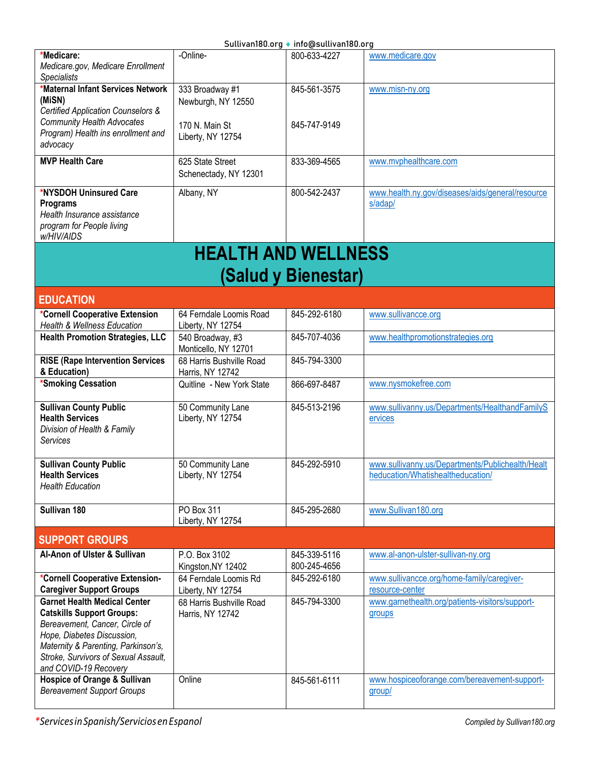<span id="page-12-0"></span>

|                                                                                                                                                                                                                                                 |                                              | ວuແivaiiiou.ui y • iiiiu@suแivaiiiou.ui y |                                                                                       |
|-------------------------------------------------------------------------------------------------------------------------------------------------------------------------------------------------------------------------------------------------|----------------------------------------------|-------------------------------------------|---------------------------------------------------------------------------------------|
| *Medicare:<br>Medicare.gov, Medicare Enrollment<br><b>Specialists</b>                                                                                                                                                                           | -Online-                                     | 800-633-4227                              | www.medicare.gov                                                                      |
| *Maternal Infant Services Network<br>(MiSN)<br>Certified Application Counselors &                                                                                                                                                               | 333 Broadway #1<br>Newburgh, NY 12550        | 845-561-3575                              | www.misn-ny.org                                                                       |
| <b>Community Health Advocates</b><br>Program) Health ins enrollment and<br>advocacy                                                                                                                                                             | 170 N. Main St<br>Liberty, NY 12754          | 845-747-9149                              |                                                                                       |
| <b>MVP Health Care</b>                                                                                                                                                                                                                          | 625 State Street<br>Schenectady, NY 12301    | 833-369-4565                              | www.mvphealthcare.com                                                                 |
| *NYSDOH Uninsured Care<br><b>Programs</b><br>Health Insurance assistance<br>program for People living<br>w/HIV/AIDS                                                                                                                             | Albany, NY                                   | 800-542-2437                              | www.health.ny.gov/diseases/aids/general/resource<br>s/adap/                           |
|                                                                                                                                                                                                                                                 | <b>HEALTH AND WELLNESS</b>                   |                                           |                                                                                       |
|                                                                                                                                                                                                                                                 |                                              | (Salud y Bienestar)                       |                                                                                       |
| <b>EDUCATION</b>                                                                                                                                                                                                                                |                                              |                                           |                                                                                       |
| *Cornell Cooperative Extension<br>Health & Wellness Education                                                                                                                                                                                   | 64 Ferndale Loomis Road<br>Liberty, NY 12754 | 845-292-6180                              | www.sullivancce.org                                                                   |
| <b>Health Promotion Strategies, LLC</b>                                                                                                                                                                                                         | 540 Broadway, #3<br>Monticello, NY 12701     | 845-707-4036                              | www.healthpromotionstrategies.org                                                     |
| <b>RISE (Rape Intervention Services</b><br>& Education)                                                                                                                                                                                         | 68 Harris Bushville Road<br>Harris, NY 12742 | 845-794-3300                              |                                                                                       |
| *Smoking Cessation                                                                                                                                                                                                                              | Quitline - New York State                    | 866-697-8487                              | www.nysmokefree.com                                                                   |
| <b>Sullivan County Public</b><br><b>Health Services</b><br>Division of Health & Family<br>Services                                                                                                                                              | 50 Community Lane<br>Liberty, NY 12754       | 845-513-2196                              | www.sullivanny.us/Departments/HealthandFamilyS<br>ervices                             |
| <b>Sullivan County Public</b><br><b>Health Services</b><br><b>Health Education</b>                                                                                                                                                              | 50 Community Lane<br>Liberty, NY 12754       | 845-292-5910                              | www.sullivanny.us/Departments/Publichealth/Healt<br>heducation/Whatishealtheducation/ |
| Sullivan 180                                                                                                                                                                                                                                    | PO Box 311<br>Liberty, NY 12754              | 845-295-2680                              | www.Sullivan180.org                                                                   |
| <b>SUPPORT GROUPS</b>                                                                                                                                                                                                                           |                                              |                                           |                                                                                       |
| Al-Anon of Ulster & Sullivan                                                                                                                                                                                                                    | P.O. Box 3102<br>Kingston, NY 12402          | 845-339-5116<br>800-245-4656              | www.al-anon-ulster-sullivan-ny.org                                                    |
| *Cornell Cooperative Extension-<br><b>Caregiver Support Groups</b>                                                                                                                                                                              | 64 Ferndale Loomis Rd<br>Liberty, NY 12754   | 845-292-6180                              | www.sullivancce.org/home-family/caregiver-<br>resource-center                         |
| <b>Garnet Health Medical Center</b><br><b>Catskills Support Groups:</b><br>Bereavement, Cancer, Circle of<br>Hope, Diabetes Discussion,<br>Maternity & Parenting, Parkinson's,<br>Stroke, Survivors of Sexual Assault,<br>and COVID-19 Recovery | 68 Harris Bushville Road<br>Harris, NY 12742 | 845-794-3300                              | www.garnethealth.org/patients-visitors/support-<br>groups                             |
| <b>Hospice of Orange &amp; Sullivan</b><br><b>Bereavement Support Groups</b>                                                                                                                                                                    | Online                                       | 845-561-6111                              | www.hospiceoforange.com/bereavement-support-<br>group/                                |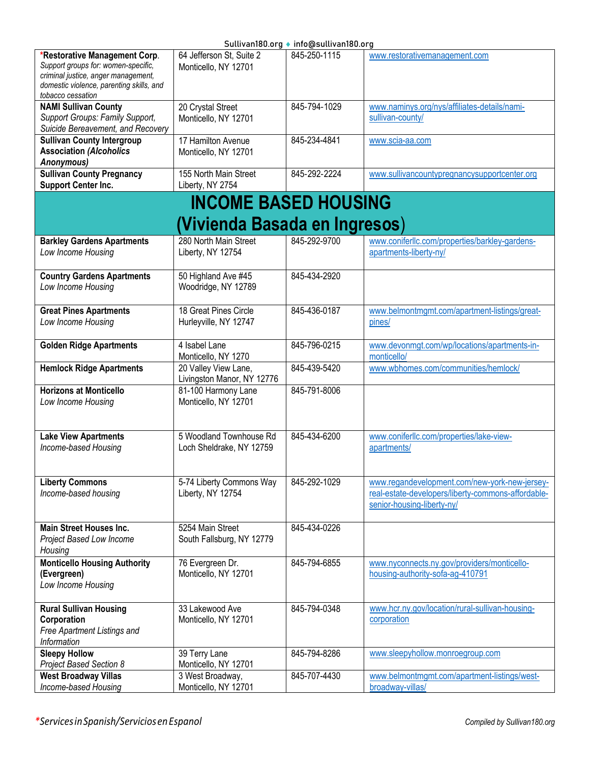<span id="page-13-0"></span>

|                                                                                                                                                                              |                                                     | Sullivan180.org ♦ info@sullivan180.org |                                                                                                                                   |
|------------------------------------------------------------------------------------------------------------------------------------------------------------------------------|-----------------------------------------------------|----------------------------------------|-----------------------------------------------------------------------------------------------------------------------------------|
| *Restorative Management Corp.<br>Support groups for: women-specific,<br>criminal justice, anger management,<br>domestic violence, parenting skills, and<br>tobacco cessation | 64 Jefferson St, Suite 2<br>Monticello, NY 12701    | 845-250-1115                           | www.restorativemanagement.com                                                                                                     |
| <b>NAMI Sullivan County</b><br>Support Groups: Family Support,<br>Suicide Bereavement, and Recovery                                                                          | 20 Crystal Street<br>Monticello, NY 12701           | 845-794-1029                           | www.naminys.org/nys/affiliates-details/nami-<br>sullivan-county/                                                                  |
| <b>Sullivan County Intergroup</b><br><b>Association (Alcoholics</b><br>Anonymous)                                                                                            | 17 Hamilton Avenue<br>Monticello, NY 12701          | 845-234-4841                           | www.scia-aa.com                                                                                                                   |
| <b>Sullivan County Pregnancy</b><br><b>Support Center Inc.</b>                                                                                                               | 155 North Main Street<br>Liberty, NY 2754           | 845-292-2224                           | www.sullivancountypregnancysupportcenter.org                                                                                      |
|                                                                                                                                                                              | <b>INCOME BASED HOUSING</b>                         |                                        |                                                                                                                                   |
|                                                                                                                                                                              | (Vivienda Basada en Ingresos)                       |                                        |                                                                                                                                   |
| <b>Barkley Gardens Apartments</b><br>Low Income Housing                                                                                                                      | 280 North Main Street<br>Liberty, NY 12754          | 845-292-9700                           | www.coniferllc.com/properties/barkley-gardens-<br>apartments-liberty-ny/                                                          |
| <b>Country Gardens Apartments</b><br>Low Income Housing                                                                                                                      | 50 Highland Ave #45<br>Woodridge, NY 12789          | 845-434-2920                           |                                                                                                                                   |
| <b>Great Pines Apartments</b><br>Low Income Housing                                                                                                                          | 18 Great Pines Circle<br>Hurleyville, NY 12747      | 845-436-0187                           | www.belmontmgmt.com/apartment-listings/great-<br>pines/                                                                           |
| <b>Golden Ridge Apartments</b>                                                                                                                                               | 4 Isabel Lane<br>Monticello, NY 1270                | 845-796-0215                           | www.devonmgt.com/wp/locations/apartments-in-<br>monticello/                                                                       |
| <b>Hemlock Ridge Apartments</b>                                                                                                                                              | 20 Valley View Lane,<br>Livingston Manor, NY 12776  | 845-439-5420                           | www.wbhomes.com/communities/hemlock/                                                                                              |
| <b>Horizons at Monticello</b><br>Low Income Housing                                                                                                                          | 81-100 Harmony Lane<br>Monticello, NY 12701         | 845-791-8006                           |                                                                                                                                   |
| <b>Lake View Apartments</b><br>Income-based Housing                                                                                                                          | 5 Woodland Townhouse Rd<br>Loch Sheldrake, NY 12759 | 845-434-6200                           | www.coniferllc.com/properties/lake-view-<br>apartments/                                                                           |
| <b>Liberty Commons</b><br>Income-based housing                                                                                                                               | 5-74 Liberty Commons Way<br>Liberty, NY 12754       | 845-292-1029                           | www.regandevelopment.com/new-york-new-jersey-<br>real-estate-developers/liberty-commons-affordable-<br>senior-housing-liberty-ny/ |
| <b>Main Street Houses Inc.</b><br>Project Based Low Income<br>Housing                                                                                                        | 5254 Main Street<br>South Fallsburg, NY 12779       | 845-434-0226                           |                                                                                                                                   |
| <b>Monticello Housing Authority</b><br>(Evergreen)<br>Low Income Housing                                                                                                     | 76 Evergreen Dr.<br>Monticello, NY 12701            | 845-794-6855                           | www.nyconnects.ny.gov/providers/monticello-<br>housing-authority-sofa-ag-410791                                                   |
| <b>Rural Sullivan Housing</b><br>Corporation<br>Free Apartment Listings and<br>Information                                                                                   | 33 Lakewood Ave<br>Monticello, NY 12701             | 845-794-0348                           | www.hcr.ny.gov/location/rural-sullivan-housing-<br>corporation                                                                    |
| <b>Sleepy Hollow</b><br>Project Based Section 8                                                                                                                              | 39 Terry Lane<br>Monticello, NY 12701               | 845-794-8286                           | www.sleepyhollow.monroegroup.com                                                                                                  |
| <b>West Broadway Villas</b><br>Income-based Housing                                                                                                                          | 3 West Broadway,<br>Monticello, NY 12701            | 845-707-4430                           | www.belmontmgmt.com/apartment-listings/west-<br>broadway-villas/                                                                  |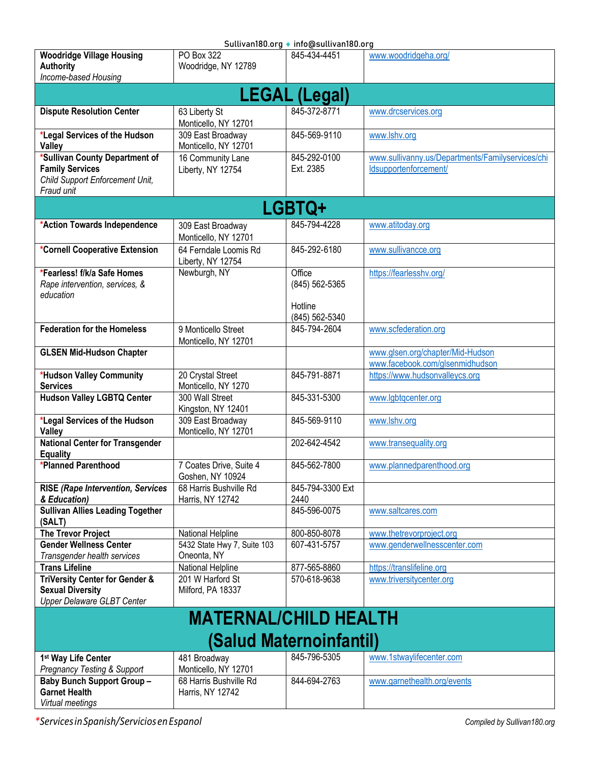<span id="page-14-2"></span><span id="page-14-1"></span><span id="page-14-0"></span>

| Sullivan180.org ♦ info@sullivan180.org    |                              |                         |                                                  |  |
|-------------------------------------------|------------------------------|-------------------------|--------------------------------------------------|--|
| <b>Woodridge Village Housing</b>          | PO Box 322                   | 845-434-4451            | www.woodridgeha.org/                             |  |
| <b>Authority</b>                          | Woodridge, NY 12789          |                         |                                                  |  |
| Income-based Housing                      |                              |                         |                                                  |  |
|                                           |                              |                         |                                                  |  |
|                                           |                              | <b>LEGAL (Legal)</b>    |                                                  |  |
| <b>Dispute Resolution Center</b>          | 63 Liberty St                | 845-372-8771            | www.drcservices.org                              |  |
|                                           | Monticello, NY 12701         |                         |                                                  |  |
| *Legal Services of the Hudson             | 309 East Broadway            | 845-569-9110            | www.lshv.org                                     |  |
| <b>Valley</b>                             | Monticello, NY 12701         |                         |                                                  |  |
| *Sullivan County Department of            | 16 Community Lane            | 845-292-0100            | www.sullivanny.us/Departments/Familyservices/chi |  |
| <b>Family Services</b>                    | Liberty, NY 12754            | Ext. 2385               | Idsupportenforcement/                            |  |
| Child Support Enforcement Unit,           |                              |                         |                                                  |  |
| Fraud unit                                |                              |                         |                                                  |  |
|                                           |                              |                         |                                                  |  |
|                                           |                              | <b>LGBTQ+</b>           |                                                  |  |
| *Action Towards Independence              | 309 East Broadway            | 845-794-4228            | www.atitoday.org                                 |  |
|                                           | Monticello, NY 12701         |                         |                                                  |  |
| *Cornell Cooperative Extension            | 64 Ferndale Loomis Rd        | 845-292-6180            | www.sullivancce.org                              |  |
|                                           | Liberty, NY 12754            |                         |                                                  |  |
| *Fearless! f/k/a Safe Homes               | Newburgh, NY                 | Office                  | https://fearlesshv.org/                          |  |
| Rape intervention, services, &            |                              | (845) 562-5365          |                                                  |  |
| education                                 |                              |                         |                                                  |  |
|                                           |                              | Hotline                 |                                                  |  |
|                                           |                              | (845) 562-5340          |                                                  |  |
| <b>Federation for the Homeless</b>        | 9 Monticello Street          | 845-794-2604            | www.scfederation.org                             |  |
|                                           | Monticello, NY 12701         |                         |                                                  |  |
| <b>GLSEN Mid-Hudson Chapter</b>           |                              |                         | www.glsen.org/chapter/Mid-Hudson                 |  |
|                                           |                              |                         | www.facebook.com/glsenmidhudson                  |  |
| *Hudson Valley Community                  | 20 Crystal Street            | 845-791-8871            |                                                  |  |
| <b>Services</b>                           | Monticello, NY 1270          |                         | https://www.hudsonvalleycs.org                   |  |
| <b>Hudson Valley LGBTQ Center</b>         | 300 Wall Street              | 845-331-5300            | www.lgbtqcenter.org                              |  |
|                                           | Kingston, NY 12401           |                         |                                                  |  |
| *Legal Services of the Hudson             | 309 East Broadway            | 845-569-9110            | www.lshv.org                                     |  |
| Valley                                    | Monticello, NY 12701         |                         |                                                  |  |
| <b>National Center for Transgender</b>    |                              | 202-642-4542            | www.transequality.org                            |  |
| <b>Equality</b>                           |                              |                         |                                                  |  |
| *Planned Parenthood                       | 7 Coates Drive, Suite 4      | 845-562-7800            | www.plannedparenthood.org                        |  |
|                                           | Goshen, NY 10924             |                         |                                                  |  |
| <b>RISE (Rape Intervention, Services</b>  | 68 Harris Bushville Rd       | 845-794-3300 Ext        |                                                  |  |
| & Education)                              | Harris, NY 12742             | 2440                    |                                                  |  |
| <b>Sullivan Allies Leading Together</b>   |                              | 845-596-0075            | www.saltcares.com                                |  |
| (SALT)                                    |                              |                         |                                                  |  |
| <b>The Trevor Project</b>                 | National Helpline            | 800-850-8078            | www.thetrevorproject.org                         |  |
| <b>Gender Wellness Center</b>             | 5432 State Hwy 7, Suite 103  | 607-431-5757            | www.genderwellnesscenter.com                     |  |
| Transgender health services               | Oneonta, NY                  |                         |                                                  |  |
| <b>Trans Lifeline</b>                     | National Helpline            | 877-565-8860            | https://translifeline.org                        |  |
| <b>TriVersity Center for Gender &amp;</b> | 201 W Harford St             | 570-618-9638            | www.triversitycenter.org                         |  |
| <b>Sexual Diversity</b>                   | Milford, PA 18337            |                         |                                                  |  |
| <b>Upper Delaware GLBT Center</b>         |                              |                         |                                                  |  |
|                                           | <b>MATERNAL/CHILD HEALTH</b> |                         |                                                  |  |
|                                           |                              |                         |                                                  |  |
|                                           |                              | (Salud Maternoinfantil) |                                                  |  |
|                                           |                              |                         |                                                  |  |
| 1 <sup>st</sup> Way Life Center           | 481 Broadway                 | 845-796-5305            | www.1stwaylifecenter.com                         |  |
| <b>Pregnancy Testing &amp; Support</b>    | Monticello, NY 12701         |                         |                                                  |  |
| <b>Baby Bunch Support Group -</b>         | 68 Harris Bushville Rd       | 844-694-2763            | www.garnethealth.org/events                      |  |
| <b>Garnet Health</b>                      | Harris, NY 12742             |                         |                                                  |  |
| Virtual meetings                          |                              |                         |                                                  |  |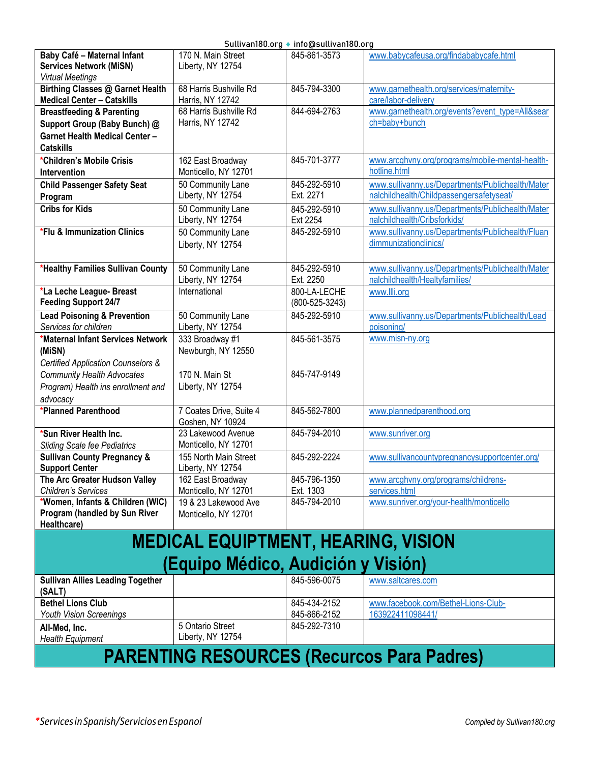<span id="page-15-1"></span><span id="page-15-0"></span>

| Baby Café - Maternal Infant<br><b>Services Network (MiSN)</b><br><b>Virtual Meetings</b>                                   | 170 N. Main Street<br>Liberty, NY 12754      | 845-861-3573                         | www.babycafeusa.org/findababycafe.html                                                       |  |
|----------------------------------------------------------------------------------------------------------------------------|----------------------------------------------|--------------------------------------|----------------------------------------------------------------------------------------------|--|
| <b>Birthing Classes @ Garnet Health</b><br><b>Medical Center - Catskills</b>                                               | 68 Harris Bushville Rd<br>Harris, NY 12742   | 845-794-3300                         | www.garnethealth.org/services/maternity-<br>care/labor-delivery                              |  |
| <b>Breastfeeding &amp; Parenting</b><br>Support Group (Baby Bunch) @<br>Garnet Health Medical Center -<br><b>Catskills</b> | 68 Harris Bushville Rd<br>Harris, NY 12742   | 844-694-2763                         | www.garnethealth.org/events?event_type=All&sear<br>ch=baby+bunch                             |  |
| *Children's Mobile Crisis<br><b>Intervention</b>                                                                           | 162 East Broadway<br>Monticello, NY 12701    | 845-701-3777                         | www.arcghvny.org/programs/mobile-mental-health-<br>hotline.html                              |  |
| <b>Child Passenger Safety Seat</b><br>Program                                                                              | 50 Community Lane<br>Liberty, NY 12754       | 845-292-5910<br>Ext. 2271            | www.sullivanny.us/Departments/Publichealth/Mater<br>nalchildhealth/Childpassengersafetyseat/ |  |
| <b>Cribs for Kids</b>                                                                                                      | 50 Community Lane<br>Liberty, NY 12754       | 845-292-5910<br>Ext 2254             | www.sullivanny.us/Departments/Publichealth/Mater<br>nalchildhealth/Cribsforkids/             |  |
| *Flu & Immunization Clinics                                                                                                | 50 Community Lane<br>Liberty, NY 12754       | 845-292-5910                         | www.sullivanny.us/Departments/Publichealth/Fluan<br>dimmunizationclinics/                    |  |
| *Healthy Families Sullivan County                                                                                          | 50 Community Lane<br>Liberty, NY 12754       | 845-292-5910<br>Ext. 2250            | www.sullivanny.us/Departments/Publichealth/Mater<br>nalchildhealth/Healtyfamilies/           |  |
| *La Leche League- Breast<br><b>Feeding Support 24/7</b>                                                                    | International                                | 800-LA-LECHE<br>$(800 - 525 - 3243)$ | www.llli.org                                                                                 |  |
| <b>Lead Poisoning &amp; Prevention</b><br>Services for children                                                            | 50 Community Lane<br>Liberty, NY 12754       | 845-292-5910                         | www.sullivanny.us/Departments/Publichealth/Lead<br>poisoning/                                |  |
| *Maternal Infant Services Network<br>(MiSN)<br>Certified Application Counselors &                                          | 333 Broadway #1<br>Newburgh, NY 12550        | 845-561-3575                         | www.misn-ny.org                                                                              |  |
| <b>Community Health Advocates</b><br>Program) Health ins enrollment and<br>advocacy                                        | 170 N. Main St<br>Liberty, NY 12754          | 845-747-9149                         |                                                                                              |  |
| *Planned Parenthood                                                                                                        | 7 Coates Drive, Suite 4<br>Goshen, NY 10924  | 845-562-7800                         | www.plannedparenthood.org                                                                    |  |
| *Sun River Health Inc.<br>Sliding Scale fee Pediatrics                                                                     | 23 Lakewood Avenue<br>Monticello, NY 12701   | 845-794-2010                         | www.sunriver.org                                                                             |  |
| <b>Sullivan County Pregnancy &amp;</b><br><b>Support Center</b>                                                            | 155 North Main Street<br>Liberty, NY 12754   | 845-292-2224                         | www.sullivancountypregnancysupportcenter.org/                                                |  |
| The Arc Greater Hudson Valley<br>Children's Services                                                                       | 162 East Broadway<br>Monticello, NY 12701    | 845-796-1350<br>Ext. 1303            | www.arcghvny.org/programs/childrens-<br>services.html                                        |  |
| *Women, Infants & Children (WIC)<br>Program (handled by Sun River<br>Healthcare)                                           | 19 & 23 Lakewood Ave<br>Monticello, NY 12701 | 845-794-2010                         | www.sunriver.org/your-health/monticello                                                      |  |
|                                                                                                                            | <b>MEDICAL EQUIPTMENT, HEARING, VISION</b>   |                                      |                                                                                              |  |
|                                                                                                                            | (Equipo Médico, Audición y Visión)           |                                      |                                                                                              |  |
| <b>Sullivan Allies Leading Together</b><br>(SALT)                                                                          |                                              | 845-596-0075                         | www.saltcares.com                                                                            |  |
| <b>Bethel Lions Club</b><br><b>Youth Vision Screenings</b>                                                                 |                                              | 845-434-2152<br>845-866-2152         | www.facebook.com/Bethel-Lions-Club-<br>163922411098441/                                      |  |
| All-Med, Inc.<br><b>Health Equipment</b>                                                                                   | 5 Ontario Street<br>Liberty, NY 12754        | 845-292-7310                         |                                                                                              |  |
| <b>PARENTING RESOURCES (Recurcos Para Padres)</b>                                                                          |                                              |                                      |                                                                                              |  |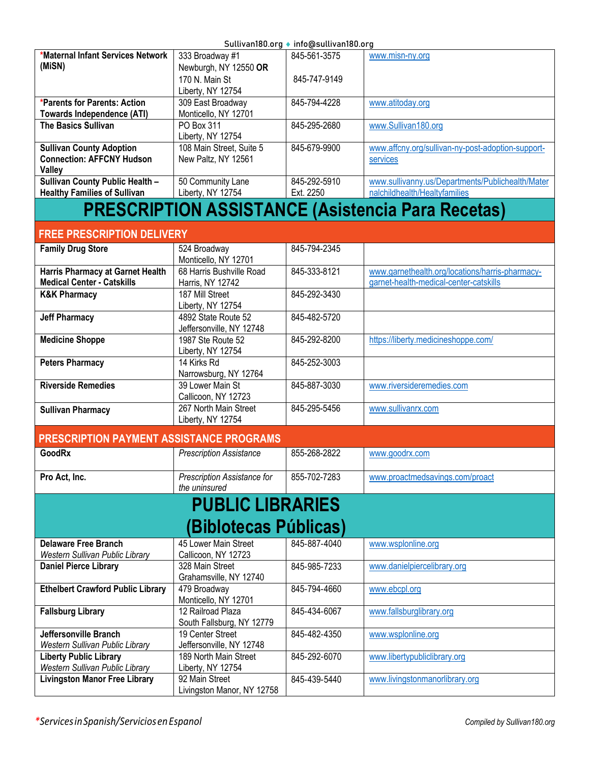| *Maternal Infant Services Network   | 333 Broadway #1          | 845-561-3575 | www.misn-ny.org                                   |
|-------------------------------------|--------------------------|--------------|---------------------------------------------------|
| (MiSN)                              | Newburgh, NY 12550 OR    |              |                                                   |
|                                     | 170 N. Main St           | 845-747-9149 |                                                   |
|                                     | Liberty, NY 12754        |              |                                                   |
| *Parents for Parents: Action        | 309 East Broadway        | 845-794-4228 | www.atitoday.org                                  |
| Towards Independence (ATI)          | Monticello, NY 12701     |              |                                                   |
| <b>The Basics Sullivan</b>          | PO Box 311               | 845-295-2680 | www.Sullivan180.org                               |
|                                     | Liberty, NY 12754        |              |                                                   |
| <b>Sullivan County Adoption</b>     | 108 Main Street, Suite 5 | 845-679-9900 | www.affcny.org/sullivan-ny-post-adoption-support- |
| <b>Connection: AFFCNY Hudson</b>    | New Paltz, NY 12561      |              | services                                          |
| <b>Valley</b>                       |                          |              |                                                   |
| Sullivan County Public Health -     | 50 Community Lane        | 845-292-5910 | www.sullivanny.us/Departments/Publichealth/Mater  |
| <b>Healthy Families of Sullivan</b> | Liberty, NY 12754        | Ext. 2250    | nalchildhealth/Healtyfamilies                     |
|                                     |                          |              |                                                   |

### **PRESCRIPTION ASSISTANCE (Asistencia Para Recetas)**

#### <span id="page-16-0"></span>**FREE PRESCRIPTION DELIVERY**

| <b>Family Drug Store</b>          | 524 Broadway             | 845-794-2345 |                                                 |
|-----------------------------------|--------------------------|--------------|-------------------------------------------------|
|                                   | Monticello, NY 12701     |              |                                                 |
| Harris Pharmacy at Garnet Health  | 68 Harris Bushville Road | 845-333-8121 | www.garnethealth.org/locations/harris-pharmacy- |
| <b>Medical Center - Catskills</b> | Harris, NY 12742         |              | garnet-health-medical-center-catskills          |
| <b>K&amp;K Pharmacy</b>           | 187 Mill Street          | 845-292-3430 |                                                 |
|                                   | Liberty, NY 12754        |              |                                                 |
| <b>Jeff Pharmacy</b>              | 4892 State Route 52      | 845-482-5720 |                                                 |
|                                   | Jeffersonville, NY 12748 |              |                                                 |
| <b>Medicine Shoppe</b>            | 1987 Ste Route 52        | 845-292-8200 | https://liberty.medicineshoppe.com/             |
|                                   | Liberty, NY 12754        |              |                                                 |
| <b>Peters Pharmacy</b>            | 14 Kirks Rd              | 845-252-3003 |                                                 |
|                                   | Narrowsburg, NY 12764    |              |                                                 |
| <b>Riverside Remedies</b>         | 39 Lower Main St         | 845-887-3030 | www.riversideremedies.com                       |
|                                   | Callicoon, NY 12723      |              |                                                 |
| <b>Sullivan Pharmacy</b>          | 267 North Main Street    | 845-295-5456 | www.sullivanrx.com                              |
|                                   | Liberty, NY 12754        |              |                                                 |

#### **PRESCRIPTION PAYMENT ASSISTANCE PROGRAMS**

| GoodRx        | <b>Prescription Assistance</b>                      | 855-268-2822 | www.goodrx.com                  |
|---------------|-----------------------------------------------------|--------------|---------------------------------|
| Pro Act. Inc. | <b>Prescription Assistance for</b><br>the uninsured | 855-702-7283 | www.proactmedsavings.com/proact |

### <span id="page-16-1"></span>**PUBLIC LIBRARIES (Biblotecas Públicas)**

| <b>Delaware Free Branch</b>              | 45 Lower Main Street       | 845-887-4040 | www.wsplonline.org             |
|------------------------------------------|----------------------------|--------------|--------------------------------|
| Western Sullivan Public Library          | Callicoon, NY 12723        |              |                                |
| <b>Daniel Pierce Library</b>             | 328 Main Street            | 845-985-7233 | www.danielpiercelibrary.org    |
|                                          | Grahamsville, NY 12740     |              |                                |
| <b>Ethelbert Crawford Public Library</b> | 479 Broadway               | 845-794-4660 | www.ebcpl.org                  |
|                                          | Monticello, NY 12701       |              |                                |
| <b>Fallsburg Library</b>                 | 12 Railroad Plaza          | 845-434-6067 | www.fallsburglibrary.org       |
|                                          | South Fallsburg, NY 12779  |              |                                |
| Jeffersonville Branch                    | 19 Center Street           | 845-482-4350 | www.wsplonline.org             |
| Western Sullivan Public Library          | Jeffersonville, NY 12748   |              |                                |
| <b>Liberty Public Library</b>            | 189 North Main Street      | 845-292-6070 | www.libertypubliclibrary.org   |
| Western Sullivan Public Library          | Liberty, NY 12754          |              |                                |
| <b>Livingston Manor Free Library</b>     | 92 Main Street             | 845-439-5440 | www.livingstonmanorlibrary.org |
|                                          | Livingston Manor, NY 12758 |              |                                |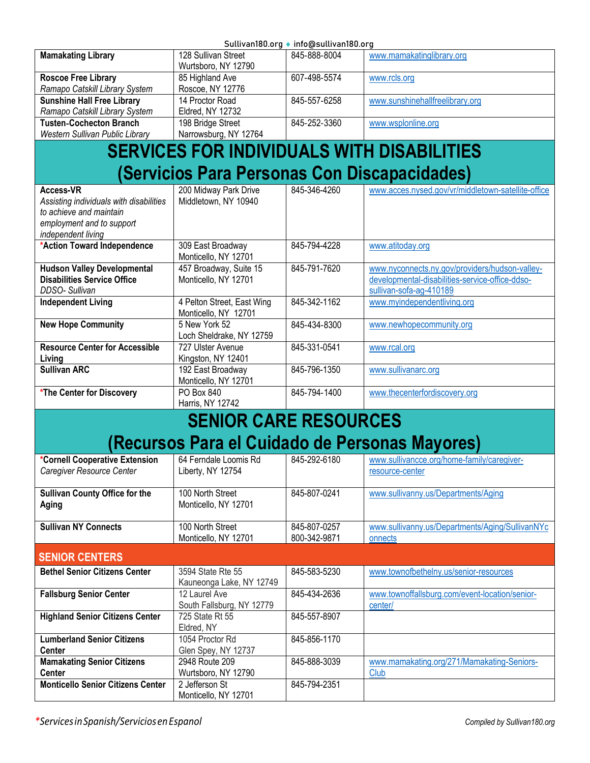<span id="page-17-1"></span><span id="page-17-0"></span>

| Sullivan180.org ◆ info@sullivan180.org                                                                                                    |                                                    |                              |                                                                                                                              |  |
|-------------------------------------------------------------------------------------------------------------------------------------------|----------------------------------------------------|------------------------------|------------------------------------------------------------------------------------------------------------------------------|--|
| <b>Mamakating Library</b>                                                                                                                 | 128 Sullivan Street<br>Wurtsboro, NY 12790         | 845-888-8004                 | www.mamakatinglibrary.org                                                                                                    |  |
| <b>Roscoe Free Library</b><br>Ramapo Catskill Library System                                                                              | 85 Highland Ave<br>Roscoe, NY 12776                | 607-498-5574                 | www.rcls.org                                                                                                                 |  |
| <b>Sunshine Hall Free Library</b><br>Ramapo Catskill Library System                                                                       | 14 Proctor Road<br>Eldred, NY 12732                | 845-557-6258                 | www.sunshinehallfreelibrary.org                                                                                              |  |
| <b>Tusten-Cochecton Branch</b><br><b>Western Sullivan Public Library</b>                                                                  | 198 Bridge Street<br>Narrowsburg, NY 12764         | 845-252-3360                 | www.wsplonline.org                                                                                                           |  |
|                                                                                                                                           |                                                    |                              |                                                                                                                              |  |
|                                                                                                                                           |                                                    |                              | <b>SERVICES FOR INDIVIDUALS WITH DISABILITIES</b>                                                                            |  |
|                                                                                                                                           |                                                    |                              | (Servicios Para Personas Con Discapacidades)                                                                                 |  |
| <b>Access-VR</b><br>Assisting individuals with disabilities<br>to achieve and maintain<br>employment and to support<br>independent living | 200 Midway Park Drive<br>Middletown, NY 10940      | 845-346-4260                 | www.acces.nysed.gov/vr/middletown-satellite-office                                                                           |  |
| *Action Toward Independence                                                                                                               | 309 East Broadway<br>Monticello, NY 12701          | 845-794-4228                 | www.atitoday.org                                                                                                             |  |
| <b>Hudson Valley Developmental</b><br><b>Disabilities Service Office</b><br>DDSO-Sullivan                                                 | 457 Broadway, Suite 15<br>Monticello, NY 12701     | 845-791-7620                 | www.nyconnects.ny.gov/providers/hudson-valley-<br>developmental-disabilities-service-office-ddso-<br>sullivan-sofa-ag-410189 |  |
| <b>Independent Living</b>                                                                                                                 | 4 Pelton Street, East Wing<br>Monticello, NY 12701 | 845-342-1162                 | www.myindependentliving.org                                                                                                  |  |
| <b>New Hope Community</b>                                                                                                                 | 5 New York 52<br>Loch Sheldrake, NY 12759          | 845-434-8300                 | www.newhopecommunity.org                                                                                                     |  |
| <b>Resource Center for Accessible</b><br>Living                                                                                           | 727 Ulster Avenue<br>Kingston, NY 12401            | 845-331-0541                 | www.rcal.org                                                                                                                 |  |
| <b>Sullivan ARC</b>                                                                                                                       | 192 East Broadway<br>Monticello, NY 12701          | 845-796-1350                 | www.sullivanarc.org                                                                                                          |  |
| *The Center for Discovery                                                                                                                 | PO Box 840<br>Harris, NY 12742                     | 845-794-1400                 | www.thecenterfordiscovery.org                                                                                                |  |
| <b>SENIOR CARE RESOURCES</b>                                                                                                              |                                                    |                              |                                                                                                                              |  |
|                                                                                                                                           |                                                    |                              | (Recursos Para el Cuidado de Personas Mayores)                                                                               |  |
| *Cornell Cooperative Extension<br>Caregiver Resource Center                                                                               | 64 Ferndale Loomis Rd<br>Liberty, NY 12754         | 845-292-6180                 | www.sullivancce.org/home-family/caregiver-<br>resource-center                                                                |  |
| <b>Sullivan County Office for the</b><br>Aging                                                                                            | 100 North Street<br>Monticello, NY 12701           | 845-807-0241                 | www.sullivanny.us/Departments/Aging                                                                                          |  |
| <b>Sullivan NY Connects</b>                                                                                                               | 100 North Street<br>Monticello, NY 12701           | 845-807-0257<br>800-342-9871 | www.sullivanny.us/Departments/Aging/SullivanNYc<br>onnects                                                                   |  |
| <b>SENIOR CENTERS</b>                                                                                                                     |                                                    |                              |                                                                                                                              |  |
| <b>Bethel Senior Citizens Center</b>                                                                                                      | 3594 State Rte 55<br>Kauneonga Lake, NY 12749      | 845-583-5230                 | www.townofbethelny.us/senior-resources                                                                                       |  |
| <b>Fallsburg Senior Center</b>                                                                                                            | 12 Laurel Ave<br>South Fallsburg, NY 12779         | 845-434-2636                 | www.townoffallsburg.com/event-location/senior-<br>center/                                                                    |  |
| <b>Highland Senior Citizens Center</b>                                                                                                    | 725 State Rt 55<br>Eldred, NY                      | 845-557-8907                 |                                                                                                                              |  |
| <b>Lumberland Senior Citizens</b><br><b>Center</b>                                                                                        | 1054 Proctor Rd<br>Glen Spey, NY 12737             | 845-856-1170                 |                                                                                                                              |  |
| <b>Mamakating Senior Citizens</b><br><b>Center</b>                                                                                        | 2948 Route 209<br>Wurtsboro, NY 12790              | 845-888-3039                 | www.mamakating.org/271/Mamakating-Seniors-<br>Club                                                                           |  |
| <b>Monticello Senior Citizens Center</b>                                                                                                  | 2 Jefferson St<br>Monticello, NY 12701             | 845-794-2351                 |                                                                                                                              |  |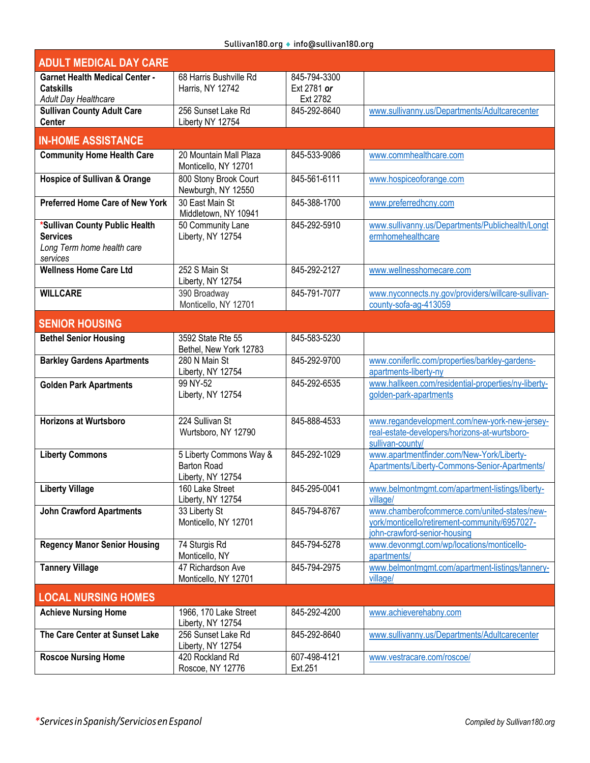| <b>ADULT MEDICAL DAY CARE</b>                 |                                                              |                         |                                                                               |
|-----------------------------------------------|--------------------------------------------------------------|-------------------------|-------------------------------------------------------------------------------|
| <b>Garnet Health Medical Center -</b>         | 68 Harris Bushville Rd                                       | 845-794-3300            |                                                                               |
| <b>Catskills</b><br>Adult Day Healthcare      | Harris, NY 12742                                             | Ext 2781 or<br>Ext 2782 |                                                                               |
| <b>Sullivan County Adult Care</b>             | 256 Sunset Lake Rd                                           | 845-292-8640            | www.sullivanny.us/Departments/Adultcarecenter                                 |
| <b>Center</b>                                 | Liberty NY 12754                                             |                         |                                                                               |
| <b>IN-HOME ASSISTANCE</b>                     |                                                              |                         |                                                                               |
| <b>Community Home Health Care</b>             | 20 Mountain Mall Plaza<br>Monticello, NY 12701               | 845-533-9086            | www.commhealthcare.com                                                        |
| <b>Hospice of Sullivan &amp; Orange</b>       | 800 Stony Brook Court<br>Newburgh, NY 12550                  | 845-561-6111            | www.hospiceoforange.com                                                       |
| <b>Preferred Home Care of New York</b>        | 30 East Main St                                              | 845-388-1700            | www.preferredhcny.com                                                         |
| *Sullivan County Public Health                | Middletown, NY 10941<br>50 Community Lane                    | 845-292-5910            | www.sullivanny.us/Departments/Publichealth/Longt                              |
| <b>Services</b><br>Long Term home health care | Liberty, NY 12754                                            |                         | ermhomehealthcare                                                             |
| services<br><b>Wellness Home Care Ltd</b>     | 252 S Main St                                                | 845-292-2127            | www.wellnesshomecare.com                                                      |
|                                               | Liberty, NY 12754                                            |                         |                                                                               |
| <b>WILLCARE</b>                               | 390 Broadway                                                 | 845-791-7077            | www.nyconnects.ny.gov/providers/willcare-sullivan-                            |
|                                               | Monticello, NY 12701                                         |                         | county-sofa-ag-413059                                                         |
| <b>SENIOR HOUSING</b>                         |                                                              |                         |                                                                               |
| <b>Bethel Senior Housing</b>                  | 3592 State Rte 55<br>Bethel, New York 12783                  | 845-583-5230            |                                                                               |
| <b>Barkley Gardens Apartments</b>             | 280 N Main St<br>Liberty, NY 12754                           | 845-292-9700            | www.coniferllc.com/properties/barkley-gardens-<br>apartments-liberty-ny       |
| <b>Golden Park Apartments</b>                 | 99 NY-52                                                     | 845-292-6535            | www.hallkeen.com/residential-properties/ny-liberty-                           |
|                                               | Liberty, NY 12754                                            |                         | golden-park-apartments                                                        |
| <b>Horizons at Wurtsboro</b>                  | 224 Sullivan St                                              | 845-888-4533            | www.regandevelopment.com/new-york-new-jersey-                                 |
|                                               | Wurtsboro, NY 12790                                          |                         | real-estate-developers/horizons-at-wurtsboro-<br>sullivan-county/             |
| <b>Liberty Commons</b>                        | 5 Liberty Commons Way &                                      | 845-292-1029            | www.apartmentfinder.com/New-York/Liberty-                                     |
|                                               | <b>Barton Road</b><br>Liberty, NY 12754                      |                         | Apartments/Liberty-Commons-Senior-Apartments/                                 |
| <b>Liberty Village</b>                        | 160 Lake Street<br>Liberty, NY 12754                         | 845-295-0041            | www.belmontmgmt.com/apartment-listings/liberty-<br>village/                   |
| <b>John Crawford Apartments</b>               | 33 Liberty St                                                | 845-794-8767            | www.chamberofcommerce.com/united-states/new-                                  |
|                                               | Monticello, NY 12701                                         |                         | york/monticello/retirement-community/6957027-<br>john-crawford-senior-housing |
| <b>Regency Manor Senior Housing</b>           | 74 Sturgis Rd                                                | 845-794-5278            | www.devonmgt.com/wp/locations/monticello-                                     |
|                                               | Monticello, NY                                               |                         | apartments/                                                                   |
| <b>Tannery Village</b>                        | 47 Richardson Ave<br>Monticello, NY 12701                    | 845-794-2975            | www.belmontmgmt.com/apartment-listings/tannery-<br>village/                   |
| <b>LOCAL NURSING HOMES</b>                    |                                                              |                         |                                                                               |
| <b>Achieve Nursing Home</b>                   | 1966, 170 Lake Street                                        | 845-292-4200            | www.achieverehabny.com                                                        |
| The Care Center at Sunset Lake                | Liberty, NY 12754<br>256 Sunset Lake Rd<br>Liberty, NY 12754 | 845-292-8640            | www.sullivanny.us/Departments/Adultcarecenter                                 |
| <b>Roscoe Nursing Home</b>                    | 420 Rockland Rd<br>Roscoe, NY 12776                          | 607-498-4121<br>Ext.251 | www.vestracare.com/roscoe/                                                    |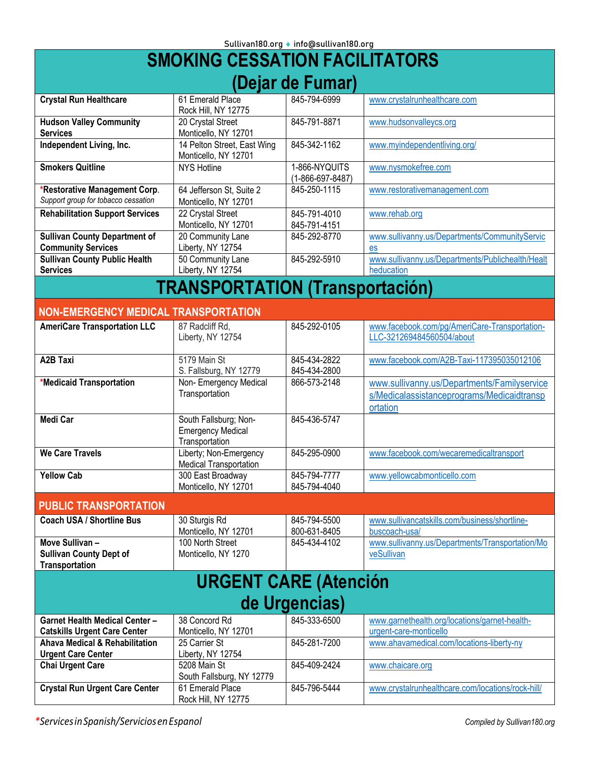<span id="page-19-2"></span><span id="page-19-1"></span><span id="page-19-0"></span>

| <b>SMOKING CESSATION FACILITATORS</b>                                            |                                                                      |                                           |                                                                                                       |
|----------------------------------------------------------------------------------|----------------------------------------------------------------------|-------------------------------------------|-------------------------------------------------------------------------------------------------------|
|                                                                                  |                                                                      | (Dejar de Fumar)                          |                                                                                                       |
| <b>Crystal Run Healthcare</b>                                                    | 61 Emerald Place<br>Rock Hill, NY 12775                              | 845-794-6999                              | www.crystalrunhealthcare.com                                                                          |
| <b>Hudson Valley Community</b><br><b>Services</b>                                | 20 Crystal Street<br>Monticello, NY 12701                            | 845-791-8871                              | www.hudsonvalleycs.org                                                                                |
| Independent Living, Inc.                                                         | 14 Pelton Street, East Wing<br>Monticello, NY 12701                  | 845-342-1162                              | www.myindependentliving.org/                                                                          |
| <b>Smokers Quitline</b>                                                          | <b>NYS Hotline</b>                                                   | 1-866-NYQUITS<br>$(1 - 866 - 697 - 8487)$ | www.nysmokefree.com                                                                                   |
| *Restorative Management Corp.<br>Support group for tobacco cessation             | 64 Jefferson St, Suite 2<br>Monticello, NY 12701                     | 845-250-1115                              | www.restorativemanagement.com                                                                         |
| <b>Rehabilitation Support Services</b>                                           | 22 Crystal Street<br>Monticello, NY 12701                            | 845-791-4010<br>845-791-4151              | www.rehab.org                                                                                         |
| <b>Sullivan County Department of</b><br><b>Community Services</b>                | 20 Community Lane<br>Liberty, NY 12754                               | 845-292-8770                              | www.sullivanny.us/Departments/CommunityServic<br>es                                                   |
| <b>Sullivan County Public Health</b><br><b>Services</b>                          | 50 Community Lane<br>Liberty, NY 12754                               | 845-292-5910                              | www.sullivanny.us/Departments/Publichealth/Healt<br>heducation                                        |
|                                                                                  | <b>TRANSPORTATION (Transportación)</b>                               |                                           |                                                                                                       |
| <b>NON-EMERGENCY MEDICAL TRANSPORTATION</b>                                      |                                                                      |                                           |                                                                                                       |
| <b>AmeriCare Transportation LLC</b>                                              | 87 Radcliff Rd,<br>Liberty, NY 12754                                 | 845-292-0105                              | www.facebook.com/pg/AmeriCare-Transportation-<br>LLC-321269484560504/about                            |
| <b>A2B Taxi</b>                                                                  | 5179 Main St<br>S. Fallsburg, NY 12779                               | 845-434-2822<br>845-434-2800              | www.facebook.com/A2B-Taxi-117395035012106                                                             |
| *Medicaid Transportation                                                         | Non- Emergency Medical<br>Transportation                             | 866-573-2148                              | www.sullivanny.us/Departments/Familyservice<br>s/Medicalassistanceprograms/Medicaidtransp<br>ortation |
| Medi Car                                                                         | South Fallsburg; Non-<br><b>Emergency Medical</b><br>Transportation  | 845-436-5747                              |                                                                                                       |
| <b>We Care Travels</b>                                                           | Liberty; Non-Emergency<br>Medical Transportation                     | 845-295-0900                              | www.facebook.com/wecaremedicaltransport                                                               |
| <b>Yellow Cab</b>                                                                | 300 East Broadway<br>Monticello, NY 12701                            | 845-794-7777<br>845-794-4040              | www.yellowcabmonticello.com                                                                           |
| <b>PUBLIC TRANSPORTATION</b>                                                     |                                                                      |                                           |                                                                                                       |
| <b>Coach USA / Shortline Bus</b>                                                 | 30 Sturgis Rd<br>Monticello, NY 12701                                | 845-794-5500<br>800-631-8405              | www.sullivancatskills.com/business/shortline-<br>buscoach-usa/                                        |
| Move Sullivan-<br><b>Sullivan County Dept of</b><br>Transportation               | 100 North Street<br>Monticello, NY 1270                              | 845-434-4102                              | www.sullivanny.us/Departments/Transportation/Mo<br>veSullivan                                         |
|                                                                                  | <b>URGENT CARE (Atención</b>                                         |                                           |                                                                                                       |
|                                                                                  |                                                                      | de Urgencias)                             |                                                                                                       |
| <b>Garnet Health Medical Center -</b>                                            | 38 Concord Rd                                                        | 845-333-6500                              | www.garnethealth.org/locations/garnet-health-                                                         |
| <b>Catskills Urgent Care Center</b><br><b>Ahava Medical &amp; Rehabilitation</b> | Monticello, NY 12701<br>25 Carrier St                                | 845-281-7200                              | urgent-care-monticello<br>www.ahavamedical.com/locations-liberty-ny                                   |
| <b>Urgent Care Center</b><br><b>Chai Urgent Care</b>                             | Liberty, NY 12754<br>5208 Main St                                    | 845-409-2424                              | www.chaicare.org                                                                                      |
| <b>Crystal Run Urgent Care Center</b>                                            | South Fallsburg, NY 12779<br>61 Emerald Place<br>Rock Hill, NY 12775 | 845-796-5444                              | www.crystalrunhealthcare.com/locations/rock-hill/                                                     |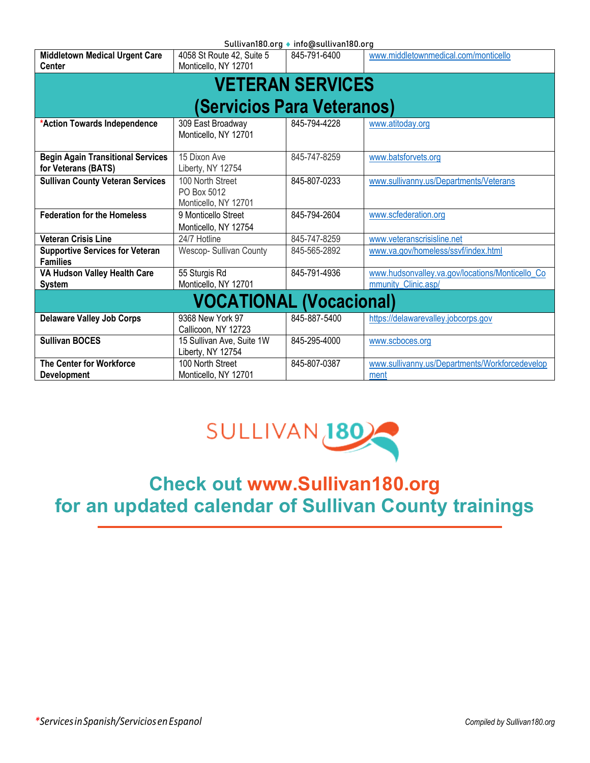<span id="page-20-0"></span>

| Sullivan180.org ♦ info@sullivan180.org                    |                                                |              |                                                 |
|-----------------------------------------------------------|------------------------------------------------|--------------|-------------------------------------------------|
| <b>Middletown Medical Urgent Care</b>                     | 4058 St Route 42, Suite 5                      | 845-791-6400 | www.middletownmedical.com/monticello            |
| <b>Center</b>                                             | Monticello, NY 12701                           |              |                                                 |
| <b>VETERAN SERVICES</b>                                   |                                                |              |                                                 |
|                                                           |                                                |              |                                                 |
| (Servicios Para Veteranos)                                |                                                |              |                                                 |
| *Action Towards Independence                              | 309 East Broadway<br>Monticello, NY 12701      | 845-794-4228 | www.atitoday.org                                |
|                                                           |                                                |              |                                                 |
| <b>Begin Again Transitional Services</b>                  | 15 Dixon Ave                                   | 845-747-8259 | www.batsforvets.org                             |
| for Veterans (BATS)                                       | Liberty, NY 12754                              |              |                                                 |
| <b>Sullivan County Veteran Services</b>                   | 100 North Street                               | 845-807-0233 | www.sullivanny.us/Departments/Veterans          |
|                                                           | PO Box 5012                                    |              |                                                 |
|                                                           | Monticello, NY 12701                           |              |                                                 |
| <b>Federation for the Homeless</b>                        | 9 Monticello Street                            | 845-794-2604 | www.scfederation.org                            |
|                                                           | Monticello, NY 12754                           |              |                                                 |
| <b>Veteran Crisis Line</b>                                | 24/7 Hotline                                   | 845-747-8259 | www.veteranscrisisline.net                      |
| <b>Supportive Services for Veteran</b><br><b>Families</b> | Wescop-Sullivan County                         | 845-565-2892 | www.va.gov/homeless/ssvf/index.html             |
| VA Hudson Valley Health Care                              | 55 Sturgis Rd                                  | 845-791-4936 | www.hudsonvalley.va.gov/locations/Monticello Co |
| <b>System</b>                                             | Monticello, NY 12701                           |              | mmunity Clinic.asp/                             |
| <b>VOCATIONAL (Vocacional)</b>                            |                                                |              |                                                 |
| <b>Delaware Valley Job Corps</b>                          | 9368 New York 97                               | 845-887-5400 | https://delawarevalley.jobcorps.gov             |
|                                                           | Callicoon, NY 12723                            |              |                                                 |
| <b>Sullivan BOCES</b>                                     | 15 Sullivan Ave, Suite 1W<br>Liberty, NY 12754 | 845-295-4000 | www.scboces.org                                 |
| <b>The Center for Workforce</b>                           | 100 North Street                               | 845-807-0387 | www.sullivanny.us/Departments/Workforcedevelop  |
| <b>Development</b>                                        | Monticello, NY 12701                           |              | ment                                            |



# <span id="page-20-1"></span>**Check out [www.Sullivan180.org](http://www.sullivan180.org/) for an updated calendar of Sullivan County trainings**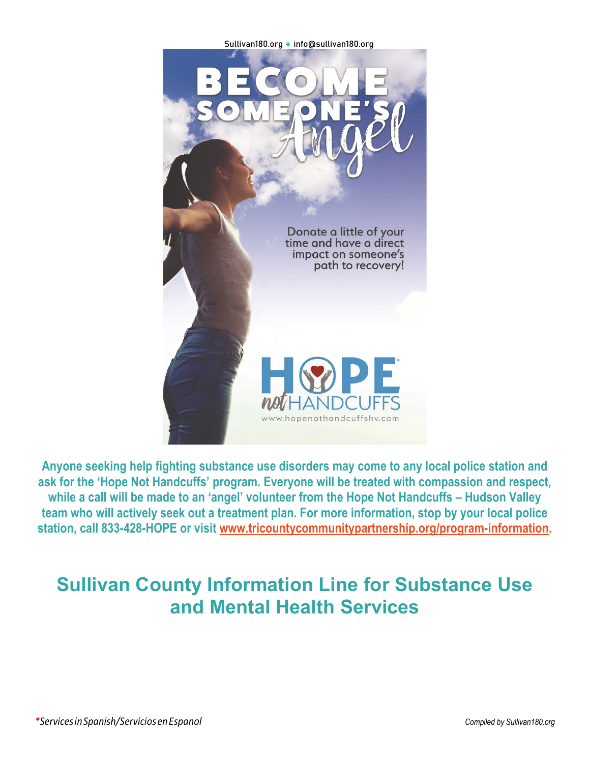

**Anyone seeking help fighting substance use disorders may come to any local police station and ask for the 'Hope Not Handcuffs' program. Everyone will be treated with compassion and respect, while a call will be made to an 'angel' volunteer from the Hope Not Handcuffs – Hudson Valley team who will actively seek out a treatment plan. For more information, stop by your local police station, call 833-428-HOPE or visit [www.tricountycommunitypartnership.org/program-information.](http://www.tricountycommunitypartnership.org/program-information)**

# **Sullivan County Information Line for Substance Use and Mental Health Services**